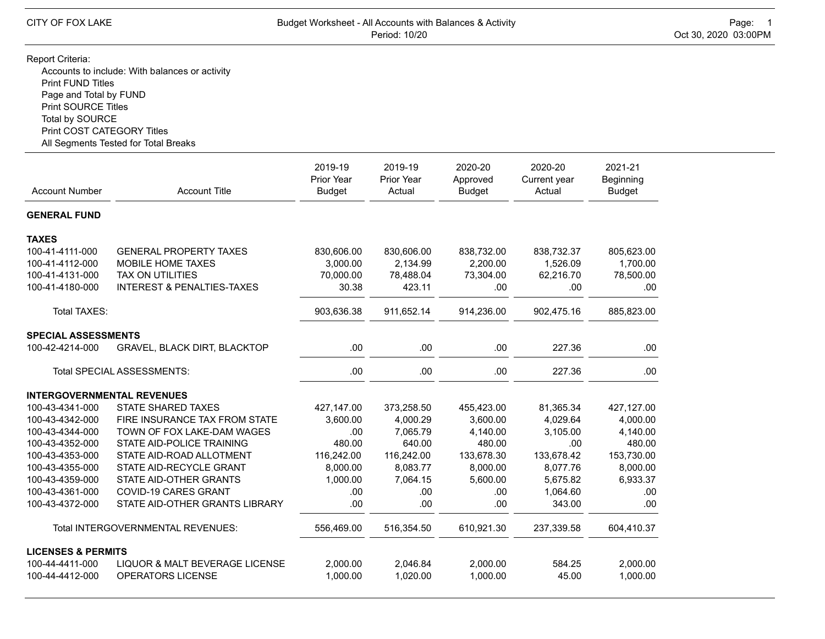## Report Criteria:

Accounts to include: With balances or activity Print FUND Titles Page and Total by FUND Print SOURCE Titles Total by SOURCE Print COST CATEGORY Titles All Segments Tested for Total Breaks

| <b>Account Number</b>             | <b>Account Title</b>                  | 2019-19<br>Prior Year<br><b>Budget</b> | 2019-19<br>Prior Year<br>Actual | 2020-20<br>Approved<br><b>Budget</b> | 2020-20<br>Current year<br>Actual | 2021-21<br>Beginning<br><b>Budget</b> |
|-----------------------------------|---------------------------------------|----------------------------------------|---------------------------------|--------------------------------------|-----------------------------------|---------------------------------------|
|                                   |                                       |                                        |                                 |                                      |                                   |                                       |
| <b>GENERAL FUND</b>               |                                       |                                        |                                 |                                      |                                   |                                       |
| <b>TAXES</b>                      |                                       |                                        |                                 |                                      |                                   |                                       |
| 100-41-4111-000                   | <b>GENERAL PROPERTY TAXES</b>         | 830,606.00                             | 830,606.00                      | 838,732.00                           | 838,732.37                        | 805,623.00                            |
| 100-41-4112-000                   | MOBILE HOME TAXES                     | 3,000.00                               | 2,134.99                        | 2,200.00                             | 1,526.09                          | 1,700.00                              |
| 100-41-4131-000                   | <b>TAX ON UTILITIES</b>               | 70,000.00                              | 78,488.04                       | 73,304.00                            | 62,216.70                         | 78,500.00                             |
| 100-41-4180-000                   | <b>INTEREST &amp; PENALTIES-TAXES</b> | 30.38                                  | 423.11                          | .00                                  | .00                               | .00.                                  |
| Total TAXES:                      |                                       | 903,636.38                             | 911,652.14                      | 914,236.00                           | 902,475.16                        | 885,823.00                            |
| <b>SPECIAL ASSESSMENTS</b>        |                                       |                                        |                                 |                                      |                                   |                                       |
| 100-42-4214-000                   | <b>GRAVEL, BLACK DIRT, BLACKTOP</b>   | .00                                    | .00.                            | .00                                  | 227.36                            | .00                                   |
|                                   | Total SPECIAL ASSESSMENTS:            | .00                                    | .00                             | .00                                  | 227.36                            | .00                                   |
| <b>INTERGOVERNMENTAL REVENUES</b> |                                       |                                        |                                 |                                      |                                   |                                       |
| 100-43-4341-000                   | <b>STATE SHARED TAXES</b>             | 427,147.00                             | 373,258.50                      | 455,423.00                           | 81,365.34                         | 427,127.00                            |
| 100-43-4342-000                   | FIRE INSURANCE TAX FROM STATE         | 3,600.00                               | 4,000.29                        | 3,600.00                             | 4,029.64                          | 4,000.00                              |
| 100-43-4344-000                   | TOWN OF FOX LAKE-DAM WAGES            | .00                                    | 7,065.79                        | 4,140.00                             | 3,105.00                          | 4,140.00                              |
| 100-43-4352-000                   | STATE AID-POLICE TRAINING             | 480.00                                 | 640.00                          | 480.00                               | .00                               | 480.00                                |
| 100-43-4353-000                   | STATE AID-ROAD ALLOTMENT              | 116,242.00                             | 116,242.00                      | 133,678.30                           | 133,678.42                        | 153,730.00                            |
| 100-43-4355-000                   | STATE AID-RECYCLE GRANT               | 8,000.00                               | 8,083.77                        | 8,000.00                             | 8.077.76                          | 8,000.00                              |
| 100-43-4359-000                   | STATE AID-OTHER GRANTS                | 1.000.00                               | 7.064.15                        | 5,600.00                             | 5.675.82                          | 6,933.37                              |
| 100-43-4361-000                   | <b>COVID-19 CARES GRANT</b>           | .00.                                   | .00                             | .00                                  | 1,064.60                          | .00                                   |
| 100-43-4372-000                   | STATE AID-OTHER GRANTS LIBRARY        | .00                                    | .00.                            | .00                                  | 343.00                            | .00                                   |
|                                   | Total INTERGOVERNMENTAL REVENUES:     | 556,469.00                             | 516,354.50                      | 610,921.30                           | 237,339.58                        | 604,410.37                            |
| <b>LICENSES &amp; PERMITS</b>     |                                       |                                        |                                 |                                      |                                   |                                       |
| 100-44-4411-000                   | LIQUOR & MALT BEVERAGE LICENSE        | 2,000.00                               | 2,046.84                        | 2,000.00                             | 584.25                            | 2,000.00                              |
| 100-44-4412-000                   | <b>OPERATORS LICENSE</b>              | 1,000.00                               | 1,020.00                        | 1,000.00                             | 45.00                             | 1,000.00                              |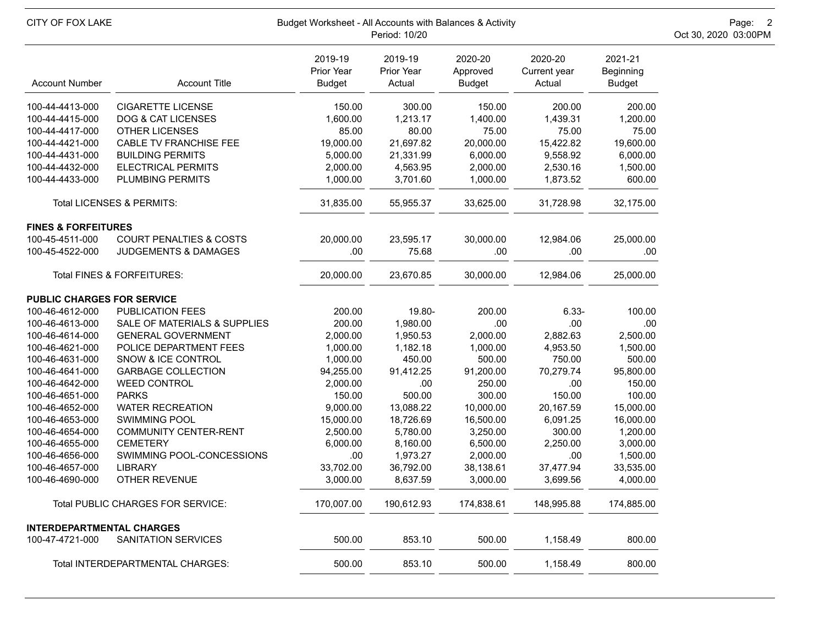| CITY OF FOX LAKE                  |                                    | Budget Worksheet - All Accounts with Balances & Activity<br>Period: 10/20 | Page: 2<br>Oct 30, 2020 03:00PM |                                      |                                   |                                       |  |
|-----------------------------------|------------------------------------|---------------------------------------------------------------------------|---------------------------------|--------------------------------------|-----------------------------------|---------------------------------------|--|
| <b>Account Number</b>             | <b>Account Title</b>               | 2019-19<br>Prior Year<br><b>Budget</b>                                    | 2019-19<br>Prior Year<br>Actual | 2020-20<br>Approved<br><b>Budget</b> | 2020-20<br>Current year<br>Actual | 2021-21<br>Beginning<br><b>Budget</b> |  |
| 100-44-4413-000                   | <b>CIGARETTE LICENSE</b>           | 150.00                                                                    | 300.00                          | 150.00                               | 200.00                            | 200.00                                |  |
| 100-44-4415-000                   | <b>DOG &amp; CAT LICENSES</b>      | 1,600.00                                                                  | 1,213.17                        | 1,400.00                             | 1,439.31                          | 1,200.00                              |  |
| 100-44-4417-000                   | <b>OTHER LICENSES</b>              | 85.00                                                                     | 80.00                           | 75.00                                | 75.00                             | 75.00                                 |  |
| 100-44-4421-000                   | CABLE TV FRANCHISE FEE             | 19,000.00                                                                 | 21,697.82                       | 20,000.00                            | 15,422.82                         | 19,600.00                             |  |
| 100-44-4431-000                   | <b>BUILDING PERMITS</b>            | 5,000.00                                                                  | 21,331.99                       | 6,000.00                             | 9,558.92                          | 6,000.00                              |  |
| 100-44-4432-000                   | <b>ELECTRICAL PERMITS</b>          | 2,000.00                                                                  | 4,563.95                        | 2,000.00                             | 2,530.16                          | 1,500.00                              |  |
| 100-44-4433-000                   | PLUMBING PERMITS                   | 1,000.00                                                                  | 3,701.60                        | 1,000.00                             | 1,873.52                          | 600.00                                |  |
|                                   | Total LICENSES & PERMITS:          | 31,835.00                                                                 | 55,955.37                       | 33,625.00                            | 31,728.98                         | 32,175.00                             |  |
| <b>FINES &amp; FORFEITURES</b>    |                                    |                                                                           |                                 |                                      |                                   |                                       |  |
| 100-45-4511-000                   | <b>COURT PENALTIES &amp; COSTS</b> | 20,000.00                                                                 | 23,595.17                       | 30,000.00                            | 12,984.06                         | 25,000.00                             |  |
| 100-45-4522-000                   | JUDGEMENTS & DAMAGES               | .00                                                                       | 75.68                           | .00                                  | .00                               | .00                                   |  |
|                                   | Total FINES & FORFEITURES:         | 20,000.00                                                                 | 23,670.85                       | 30,000.00                            | 12,984.06                         | 25,000.00                             |  |
| <b>PUBLIC CHARGES FOR SERVICE</b> |                                    |                                                                           |                                 |                                      |                                   |                                       |  |
| 100-46-4612-000                   | <b>PUBLICATION FEES</b>            | 200.00                                                                    | 19.80-                          | 200.00                               | $6.33 -$                          | 100.00                                |  |
| 100-46-4613-000                   | SALE OF MATERIALS & SUPPLIES       | 200.00                                                                    | 1,980.00                        | .00                                  | .00                               | .00                                   |  |
| 100-46-4614-000                   | <b>GENERAL GOVERNMENT</b>          | 2,000.00                                                                  | 1,950.53                        | 2,000.00                             | 2,882.63                          | 2,500.00                              |  |
| 100-46-4621-000                   | POLICE DEPARTMENT FEES             | 1,000.00                                                                  | 1,182.18                        | 1,000.00                             | 4,953.50                          | 1,500.00                              |  |
| 100-46-4631-000                   | SNOW & ICE CONTROL                 | 1,000.00                                                                  | 450.00                          | 500.00                               | 750.00                            | 500.00                                |  |
| 100-46-4641-000                   | <b>GARBAGE COLLECTION</b>          | 94,255.00                                                                 | 91,412.25                       | 91,200.00                            | 70,279.74                         | 95,800.00                             |  |
| 100-46-4642-000                   | <b>WEED CONTROL</b>                | 2,000.00                                                                  | .00                             | 250.00                               | .00                               | 150.00                                |  |
| 100-46-4651-000                   | <b>PARKS</b>                       | 150.00                                                                    | 500.00                          | 300.00                               | 150.00                            | 100.00                                |  |
| 100-46-4652-000                   | <b>WATER RECREATION</b>            | 9,000.00                                                                  | 13,088.22                       | 10,000.00                            | 20,167.59                         | 15,000.00                             |  |
| 100-46-4653-000                   | <b>SWIMMING POOL</b>               | 15,000.00                                                                 | 18,726.69                       | 16,500.00                            | 6,091.25                          | 16,000.00                             |  |
| 100-46-4654-000                   | <b>COMMUNITY CENTER-RENT</b>       | 2,500.00                                                                  | 5,780.00                        | 3,250.00                             | 300.00                            | 1,200.00                              |  |
| 100-46-4655-000                   | <b>CEMETERY</b>                    | 6,000.00                                                                  | 8,160.00                        | 6,500.00                             | 2,250.00                          | 3,000.00                              |  |
| 100-46-4656-000                   | SWIMMING POOL-CONCESSIONS          | .00                                                                       | 1,973.27                        | 2,000.00                             | .00                               | 1,500.00                              |  |
| 100-46-4657-000                   | <b>LIBRARY</b>                     | 33,702.00                                                                 | 36,792.00                       | 38,138.61                            | 37,477.94                         | 33,535.00                             |  |
| 100-46-4690-000                   | OTHER REVENUE                      | 3,000.00                                                                  | 8,637.59                        | 3,000.00                             | 3,699.56                          | 4,000.00                              |  |
|                                   | Total PUBLIC CHARGES FOR SERVICE:  | 170,007.00                                                                | 190,612.93                      | 174,838.61                           | 148,995.88                        | 174,885.00                            |  |
| <b>INTERDEPARTMENTAL CHARGES</b>  |                                    |                                                                           |                                 |                                      |                                   |                                       |  |
| 100-47-4721-000                   | SANITATION SERVICES                | 500.00                                                                    | 853.10                          | 500.00                               | 1,158.49                          | 800.00                                |  |
|                                   | Total INTERDEPARTMENTAL CHARGES:   | 500.00                                                                    | 853.10                          | 500.00                               | 1,158.49                          | 800.00                                |  |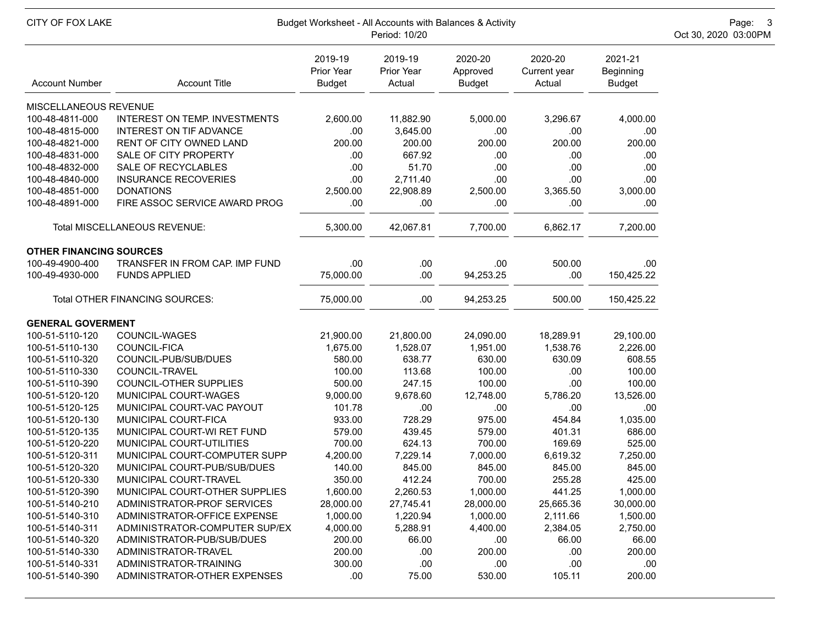| CITY OF FOX LAKE<br>Budget Worksheet - All Accounts with Balances & Activity<br>Oct 30, 2020 03:00PM<br>Period: 10/20 |                                      |                                        |                                 |                                      |                                   |                                              |  |  |
|-----------------------------------------------------------------------------------------------------------------------|--------------------------------------|----------------------------------------|---------------------------------|--------------------------------------|-----------------------------------|----------------------------------------------|--|--|
| <b>Account Number</b>                                                                                                 | <b>Account Title</b>                 | 2019-19<br>Prior Year<br><b>Budget</b> | 2019-19<br>Prior Year<br>Actual | 2020-20<br>Approved<br><b>Budget</b> | 2020-20<br>Current year<br>Actual | 2021-21<br><b>Beginning</b><br><b>Budget</b> |  |  |
| MISCELLANEOUS REVENUE                                                                                                 |                                      |                                        |                                 |                                      |                                   |                                              |  |  |
| 100-48-4811-000                                                                                                       | <b>INTEREST ON TEMP. INVESTMENTS</b> | 2,600.00                               | 11,882.90                       | 5,000.00                             | 3,296.67                          | 4,000.00                                     |  |  |
| 100-48-4815-000                                                                                                       | <b>INTEREST ON TIF ADVANCE</b>       | .00                                    | 3,645.00                        | .00                                  | .00                               | .00.                                         |  |  |
| 100-48-4821-000                                                                                                       | RENT OF CITY OWNED LAND              | 200.00                                 | 200.00                          | 200.00                               | 200.00                            | 200.00                                       |  |  |
| 100-48-4831-000                                                                                                       | SALE OF CITY PROPERTY                | .00                                    | 667.92                          | .00                                  | .00                               | .00                                          |  |  |
| 100-48-4832-000                                                                                                       | SALE OF RECYCLABLES                  | .00                                    | 51.70                           | .00                                  | .00                               | .00                                          |  |  |
| 100-48-4840-000                                                                                                       | <b>INSURANCE RECOVERIES</b>          | .00                                    | 2,711.40                        | .00                                  | .00                               | .00                                          |  |  |
| 100-48-4851-000                                                                                                       | <b>DONATIONS</b>                     | 2,500.00                               | 22,908.89                       | 2,500.00                             | 3,365.50                          | 3,000.00                                     |  |  |
| 100-48-4891-000                                                                                                       | FIRE ASSOC SERVICE AWARD PROG        | .00                                    | .00                             | .00                                  | .00                               | .00                                          |  |  |
|                                                                                                                       | Total MISCELLANEOUS REVENUE:         | 5,300.00                               | 42,067.81                       | 7,700.00                             | 6,862.17                          | 7,200.00                                     |  |  |
| <b>OTHER FINANCING SOURCES</b>                                                                                        |                                      |                                        |                                 |                                      |                                   |                                              |  |  |
| 100-49-4900-400                                                                                                       | TRANSFER IN FROM CAP. IMP FUND       | .00                                    | .00                             | .00                                  | 500.00                            | .00                                          |  |  |
| 100-49-4930-000                                                                                                       | <b>FUNDS APPLIED</b>                 | 75,000.00                              | .00                             | 94,253.25                            | .00                               | 150,425.22                                   |  |  |
|                                                                                                                       | Total OTHER FINANCING SOURCES:       | 75,000.00                              | .00                             | 94,253.25                            | 500.00                            | 150,425.22                                   |  |  |
| <b>GENERAL GOVERMENT</b>                                                                                              |                                      |                                        |                                 |                                      |                                   |                                              |  |  |
| 100-51-5110-120                                                                                                       | COUNCIL-WAGES                        | 21,900.00                              | 21,800.00                       | 24,090.00                            | 18,289.91                         | 29,100.00                                    |  |  |
| 100-51-5110-130                                                                                                       | COUNCIL-FICA                         | 1,675.00                               | 1,528.07                        | 1,951.00                             | 1,538.76                          | 2,226.00                                     |  |  |
| 100-51-5110-320                                                                                                       | COUNCIL-PUB/SUB/DUES                 | 580.00                                 | 638.77                          | 630.00                               | 630.09                            | 608.55                                       |  |  |
| 100-51-5110-330                                                                                                       | COUNCIL-TRAVEL                       | 100.00                                 | 113.68                          | 100.00                               | .00                               | 100.00                                       |  |  |
| 100-51-5110-390                                                                                                       | COUNCIL-OTHER SUPPLIES               | 500.00                                 | 247.15                          | 100.00                               | .00                               | 100.00                                       |  |  |
| 100-51-5120-120                                                                                                       | MUNICIPAL COURT-WAGES                | 9,000.00                               | 9,678.60                        | 12,748.00                            | 5,786.20                          | 13,526.00                                    |  |  |
| 100-51-5120-125                                                                                                       | MUNICIPAL COURT-VAC PAYOUT           | 101.78                                 | .00                             | .00                                  | .00                               | .00                                          |  |  |
| 100-51-5120-130                                                                                                       | MUNICIPAL COURT-FICA                 | 933.00                                 | 728.29                          | 975.00                               | 454.84                            | 1,035.00                                     |  |  |
| 100-51-5120-135                                                                                                       | MUNICIPAL COURT-WI RET FUND          | 579.00                                 | 439.45                          | 579.00                               | 401.31                            | 686.00                                       |  |  |
| 100-51-5120-220                                                                                                       | MUNICIPAL COURT-UTILITIES            | 700.00                                 | 624.13                          | 700.00                               | 169.69                            | 525.00                                       |  |  |
| 100-51-5120-311                                                                                                       | MUNICIPAL COURT-COMPUTER SUPP        | 4,200.00                               | 7,229.14                        | 7,000.00                             | 6,619.32                          | 7,250.00                                     |  |  |
| 100-51-5120-320                                                                                                       | MUNICIPAL COURT-PUB/SUB/DUES         | 140.00                                 | 845.00                          | 845.00                               | 845.00                            | 845.00                                       |  |  |
| 100-51-5120-330                                                                                                       | MUNICIPAL COURT-TRAVEL               | 350.00                                 | 412.24                          | 700.00                               | 255.28                            | 425.00                                       |  |  |
| 100-51-5120-390                                                                                                       | MUNICIPAL COURT-OTHER SUPPLIES       | 1,600.00                               | 2,260.53                        | 1,000.00                             | 441.25                            | 1,000.00                                     |  |  |
| 100-51-5140-210                                                                                                       | ADMINISTRATOR-PROF SERVICES          | 28,000.00                              | 27,745.41                       | 28,000.00                            | 25,665.36                         | 30,000.00                                    |  |  |
| 100-51-5140-310                                                                                                       | ADMINISTRATOR-OFFICE EXPENSE         | 1,000.00                               | 1,220.94                        | 1,000.00                             | 2,111.66                          | 1,500.00                                     |  |  |
| 100-51-5140-311                                                                                                       | ADMINISTRATOR-COMPUTER SUP/EX        | 4,000.00                               | 5,288.91                        | 4,400.00                             | 2,384.05                          | 2,750.00                                     |  |  |
| 100-51-5140-320                                                                                                       | ADMINISTRATOR-PUB/SUB/DUES           | 200.00                                 | 66.00                           | .00                                  | 66.00                             | 66.00                                        |  |  |
| 100-51-5140-330                                                                                                       | ADMINISTRATOR-TRAVEL                 | 200.00                                 | .00.                            | 200.00                               | .00                               | 200.00                                       |  |  |
| 100-51-5140-331                                                                                                       | ADMINISTRATOR-TRAINING               | 300.00                                 | .00                             | .00                                  | .00                               | .00                                          |  |  |
| 100-51-5140-390                                                                                                       | ADMINISTRATOR-OTHER EXPENSES         | .00.                                   | 75.00                           | 530.00                               | 105.11                            | 200.00                                       |  |  |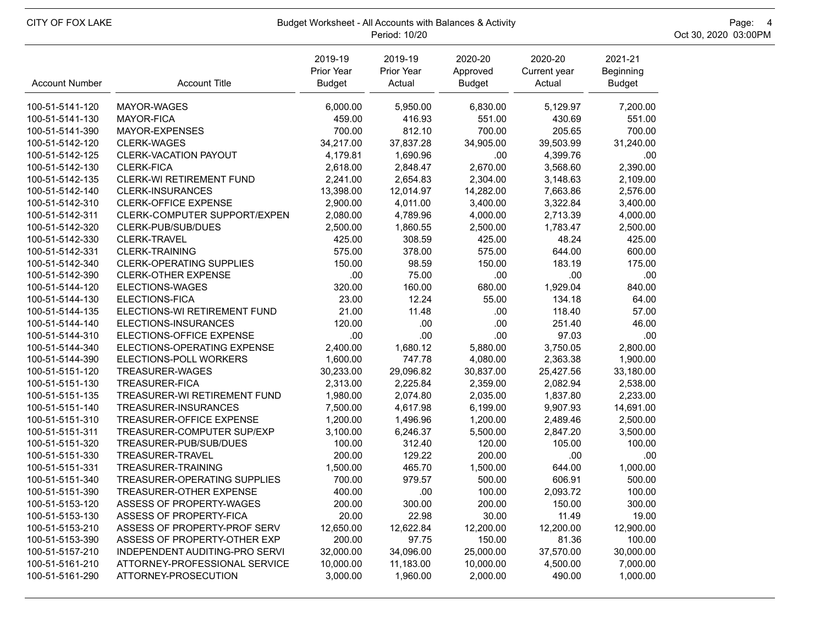| CITY OF FOX LAKE      | Budget Worksheet - All Accounts with Balances & Activity | Page: 4<br>Oct 30, 2020 03:00PM        |                                 |                                      |                                   |                                       |  |
|-----------------------|----------------------------------------------------------|----------------------------------------|---------------------------------|--------------------------------------|-----------------------------------|---------------------------------------|--|
| <b>Account Number</b> | <b>Account Title</b>                                     | 2019-19<br>Prior Year<br><b>Budget</b> | 2019-19<br>Prior Year<br>Actual | 2020-20<br>Approved<br><b>Budget</b> | 2020-20<br>Current year<br>Actual | 2021-21<br>Beginning<br><b>Budget</b> |  |
| 100-51-5141-120       | MAYOR-WAGES                                              | 6,000.00                               | 5,950.00                        | 6,830.00                             | 5,129.97                          | 7,200.00                              |  |
| 100-51-5141-130       | <b>MAYOR-FICA</b>                                        | 459.00                                 | 416.93                          | 551.00                               | 430.69                            | 551.00                                |  |
| 100-51-5141-390       | MAYOR-EXPENSES                                           | 700.00                                 | 812.10                          | 700.00                               | 205.65                            | 700.00                                |  |
| 100-51-5142-120       | <b>CLERK-WAGES</b>                                       | 34,217.00                              | 37,837.28                       | 34,905.00                            | 39,503.99                         | 31,240.00                             |  |
| 100-51-5142-125       | CLERK-VACATION PAYOUT                                    | 4,179.81                               | 1,690.96                        | .00                                  | 4,399.76                          | .00                                   |  |
| 100-51-5142-130       | <b>CLERK-FICA</b>                                        | 2,618.00                               | 2,848.47                        | 2,670.00                             | 3,568.60                          | 2,390.00                              |  |
| 100-51-5142-135       | CLERK-WI RETIREMENT FUND                                 | 2,241.00                               | 2,654.83                        | 2,304.00                             | 3,148.63                          | 2,109.00                              |  |
| 100-51-5142-140       | <b>CLERK-INSURANCES</b>                                  | 13,398.00                              | 12,014.97                       | 14,282.00                            | 7,663.86                          | 2,576.00                              |  |
| 100-51-5142-310       | CLERK-OFFICE EXPENSE                                     | 2,900.00                               | 4,011.00                        | 3,400.00                             | 3,322.84                          | 3,400.00                              |  |
| 100-51-5142-311       | CLERK-COMPUTER SUPPORT/EXPEN                             | 2,080.00                               | 4,789.96                        | 4,000.00                             | 2,713.39                          | 4,000.00                              |  |
| 100-51-5142-320       | CLERK-PUB/SUB/DUES                                       | 2,500.00                               | 1,860.55                        | 2,500.00                             | 1,783.47                          | 2,500.00                              |  |
| 100-51-5142-330       | CLERK-TRAVEL                                             | 425.00                                 | 308.59                          | 425.00                               | 48.24                             | 425.00                                |  |
| 100-51-5142-331       | <b>CLERK-TRAINING</b>                                    | 575.00                                 | 378.00                          | 575.00                               | 644.00                            | 600.00                                |  |
| 100-51-5142-340       | <b>CLERK-OPERATING SUPPLIES</b>                          | 150.00                                 | 98.59                           | 150.00                               | 183.19                            | 175.00                                |  |
| 100-51-5142-390       | <b>CLERK-OTHER EXPENSE</b>                               | .00                                    | 75.00                           | .00                                  | .00                               | .00                                   |  |
| 100-51-5144-120       | ELECTIONS-WAGES                                          | 320.00                                 | 160.00                          | 680.00                               | 1,929.04                          | 840.00                                |  |
| 100-51-5144-130       | ELECTIONS-FICA                                           | 23.00                                  | 12.24                           | 55.00                                | 134.18                            | 64.00                                 |  |
| 100-51-5144-135       | ELECTIONS-WI RETIREMENT FUND                             | 21.00                                  | 11.48                           | .00                                  | 118.40                            | 57.00                                 |  |
| 100-51-5144-140       | ELECTIONS-INSURANCES                                     | 120.00                                 | .00                             | .00                                  | 251.40                            | 46.00                                 |  |
| 100-51-5144-310       | ELECTIONS-OFFICE EXPENSE                                 | .00                                    | .00                             | .00                                  | 97.03                             | .00                                   |  |
| 100-51-5144-340       | ELECTIONS-OPERATING EXPENSE                              | 2,400.00                               | 1,680.12                        | 5,880.00                             | 3,750.05                          | 2,800.00                              |  |
| 100-51-5144-390       | ELECTIONS-POLL WORKERS                                   | 1,600.00                               | 747.78                          | 4,080.00                             | 2,363.38                          | 1,900.00                              |  |
| 100-51-5151-120       | TREASURER-WAGES                                          | 30,233.00                              | 29,096.82                       | 30,837.00                            | 25,427.56                         | 33,180.00                             |  |
| 100-51-5151-130       | <b>TREASURER-FICA</b>                                    | 2,313.00                               | 2,225.84                        | 2,359.00                             | 2,082.94                          | 2,538.00                              |  |
| 100-51-5151-135       | TREASURER-WI RETIREMENT FUND                             | 1,980.00                               | 2,074.80                        | 2,035.00                             | 1,837.80                          | 2,233.00                              |  |
| 100-51-5151-140       | TREASURER-INSURANCES                                     | 7,500.00                               | 4,617.98                        | 6,199.00                             | 9,907.93                          | 14,691.00                             |  |
| 100-51-5151-310       | <b>TREASURER-OFFICE EXPENSE</b>                          | 1,200.00                               | 1,496.96                        | 1,200.00                             | 2,489.46                          | 2,500.00                              |  |
| 100-51-5151-311       | TREASURER-COMPUTER SUP/EXP                               | 3,100.00                               | 6,246.37                        | 5,500.00                             | 2,847.20                          | 3,500.00                              |  |
| 100-51-5151-320       | TREASURER-PUB/SUB/DUES                                   | 100.00                                 | 312.40                          | 120.00                               | 105.00                            | 100.00                                |  |
| 100-51-5151-330       | TREASURER-TRAVEL                                         | 200.00                                 | 129.22                          | 200.00                               | .00                               | .00                                   |  |
| 100-51-5151-331       | TREASURER-TRAINING                                       | 1,500.00                               | 465.70                          | 1,500.00                             | 644.00                            | 1,000.00                              |  |
| 100-51-5151-340       | TREASURER-OPERATING SUPPLIES                             | 700.00                                 | 979.57                          | 500.00                               | 606.91                            | 500.00                                |  |
| 100-51-5151-390       | TREASURER-OTHER EXPENSE                                  | 400.00                                 | .00                             | 100.00                               | 2,093.72                          | 100.00                                |  |
| 100-51-5153-120       | ASSESS OF PROPERTY-WAGES                                 | 200.00                                 | 300.00                          | 200.00                               | 150.00                            | 300.00                                |  |
| 100-51-5153-130       | ASSESS OF PROPERTY-FICA                                  | 20.00                                  | 22.98                           | 30.00                                | 11.49                             | 19.00                                 |  |
| 100-51-5153-210       | ASSESS OF PROPERTY-PROF SERV                             | 12,650.00                              | 12,622.84                       | 12,200.00                            | 12,200.00                         | 12,900.00                             |  |
| 100-51-5153-390       | ASSESS OF PROPERTY-OTHER EXP                             | 200.00                                 | 97.75                           | 150.00                               | 81.36                             | 100.00                                |  |
| 100-51-5157-210       | INDEPENDENT AUDITING-PRO SERVI                           | 32,000.00                              | 34,096.00                       | 25,000.00                            | 37,570.00                         | 30,000.00                             |  |
| 100-51-5161-210       | ATTORNEY-PROFESSIONAL SERVICE                            | 10,000.00                              | 11,183.00                       | 10,000.00                            | 4,500.00                          | 7,000.00                              |  |
| 100-51-5161-290       | ATTORNEY-PROSECUTION                                     | 3,000.00                               | 1,960.00                        | 2,000.00                             | 490.00                            | 1,000.00                              |  |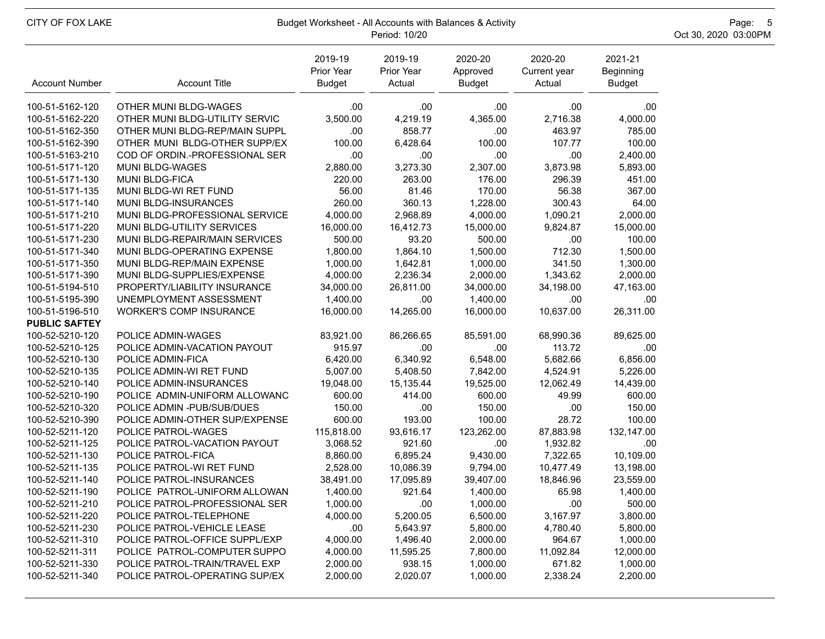| CITY OF FOX LAKE      | Budget Worksheet - All Accounts with Balances & Activity | Page: 5<br>Oct 30, 2020 03:00PM        |                                 |                                      |                                   |                                       |  |
|-----------------------|----------------------------------------------------------|----------------------------------------|---------------------------------|--------------------------------------|-----------------------------------|---------------------------------------|--|
| <b>Account Number</b> | <b>Account Title</b>                                     | 2019-19<br>Prior Year<br><b>Budget</b> | 2019-19<br>Prior Year<br>Actual | 2020-20<br>Approved<br><b>Budget</b> | 2020-20<br>Current year<br>Actual | 2021-21<br>Beginning<br><b>Budget</b> |  |
| 100-51-5162-120       | OTHER MUNI BLDG-WAGES                                    | .00.                                   | .00                             | .00                                  | .00                               | .00                                   |  |
| 100-51-5162-220       | OTHER MUNI BLDG-UTILITY SERVIC                           | 3,500.00                               | 4,219.19                        | 4,365.00                             | 2,716.38                          | 4,000.00                              |  |
| 100-51-5162-350       | OTHER MUNI BLDG-REP/MAIN SUPPL                           | .00                                    | 858.77                          | .00                                  | 463.97                            | 785.00                                |  |
| 100-51-5162-390       | OTHER MUNI BLDG-OTHER SUPP/EX                            | 100.00                                 | 6,428.64                        | 100.00                               | 107.77                            | 100.00                                |  |
| 100-51-5163-210       | COD OF ORDIN.-PROFESSIONAL SER                           | .00                                    | .00                             | .00                                  | .00.                              | 2,400.00                              |  |
| 100-51-5171-120       | MUNI BLDG-WAGES                                          | 2,880.00                               | 3,273.30                        | 2,307.00                             | 3,873.98                          | 5,893.00                              |  |
| 100-51-5171-130       | MUNI BLDG-FICA                                           | 220.00                                 | 263.00                          | 176.00                               | 296.39                            | 451.00                                |  |
| 100-51-5171-135       | MUNI BLDG-WI RET FUND                                    | 56.00                                  | 81.46                           | 170.00                               | 56.38                             | 367.00                                |  |
| 100-51-5171-140       | MUNI BLDG-INSURANCES                                     | 260.00                                 | 360.13                          | 1,228.00                             | 300.43                            | 64.00                                 |  |
| 100-51-5171-210       | MUNI BLDG-PROFESSIONAL SERVICE                           | 4,000.00                               | 2,968.89                        | 4,000.00                             | 1,090.21                          | 2,000.00                              |  |
| 100-51-5171-220       | MUNI BLDG-UTILITY SERVICES                               | 16,000.00                              | 16,412.73                       | 15,000.00                            | 9,824.87                          | 15,000.00                             |  |
| 100-51-5171-230       | MUNI BLDG-REPAIR/MAIN SERVICES                           | 500.00                                 | 93.20                           | 500.00                               | .00.                              | 100.00                                |  |
| 100-51-5171-340       | MUNI BLDG-OPERATING EXPENSE                              | 1,800.00                               | 1,864.10                        | 1,500.00                             | 712.30                            | 1,500.00                              |  |
| 100-51-5171-350       | MUNI BLDG-REP/MAIN EXPENSE                               | 1,000.00                               | 1,642.81                        | 1,000.00                             | 341.50                            | 1,300.00                              |  |
| 100-51-5171-390       | MUNI BLDG-SUPPLIES/EXPENSE                               | 4,000.00                               | 2,236.34                        | 2,000.00                             | 1,343.62                          | 2,000.00                              |  |
| 100-51-5194-510       | PROPERTY/LIABILITY INSURANCE                             | 34,000.00                              | 26,811.00                       | 34,000.00                            | 34,198.00                         | 47,163.00                             |  |
| 100-51-5195-390       | UNEMPLOYMENT ASSESSMENT                                  | 1,400.00                               | .00                             | 1,400.00                             | .00.                              | .00.                                  |  |
| 100-51-5196-510       | <b>WORKER'S COMP INSURANCE</b>                           | 16,000.00                              | 14,265.00                       | 16,000.00                            | 10,637.00                         | 26,311.00                             |  |
| <b>PUBLIC SAFTEY</b>  |                                                          |                                        |                                 |                                      |                                   |                                       |  |
| 100-52-5210-120       | POLICE ADMIN-WAGES                                       | 83,921.00                              | 86,266.65                       | 85,591.00                            | 68,990.36                         | 89,625.00                             |  |
| 100-52-5210-125       | POLICE ADMIN-VACATION PAYOUT                             | 915.97                                 | .00                             | .00                                  | 113.72                            | .00                                   |  |
| 100-52-5210-130       | POLICE ADMIN-FICA                                        | 6,420.00                               | 6,340.92                        | 6,548.00                             | 5,682.66                          | 6,856.00                              |  |
| 100-52-5210-135       | POLICE ADMIN-WI RET FUND                                 | 5,007.00                               | 5,408.50                        | 7,842.00                             | 4,524.91                          | 5,226.00                              |  |
| 100-52-5210-140       | POLICE ADMIN-INSURANCES                                  | 19,048.00                              | 15,135.44                       | 19,525.00                            | 12,062.49                         | 14,439.00                             |  |
| 100-52-5210-190       | POLICE ADMIN-UNIFORM ALLOWANC                            | 600.00                                 | 414.00                          | 600.00                               | 49.99                             | 600.00                                |  |
| 100-52-5210-320       | POLICE ADMIN - PUB/SUB/DUES                              | 150.00                                 | .00                             | 150.00                               | .00.                              | 150.00                                |  |
| 100-52-5210-390       | POLICE ADMIN-OTHER SUP/EXPENSE                           | 600.00                                 | 193.00                          | 100.00                               | 28.72                             | 100.00                                |  |
| 100-52-5211-120       | <b>POLICE PATROL-WAGES</b>                               | 115,818.00                             | 93,616.17                       | 123,262.00                           | 87,883.98                         | 132,147.00                            |  |
| 100-52-5211-125       | POLICE PATROL-VACATION PAYOUT                            | 3,068.52                               | 921.60                          | .00                                  | 1,932.82                          | .00                                   |  |
| 100-52-5211-130       | POLICE PATROL-FICA                                       | 8,860.00                               | 6,895.24                        | 9,430.00                             | 7,322.65                          | 10,109.00                             |  |
| 100-52-5211-135       | POLICE PATROL-WI RET FUND                                | 2,528.00                               | 10,086.39                       | 9,794.00                             | 10,477.49                         | 13,198.00                             |  |
| 100-52-5211-140       | POLICE PATROL-INSURANCES                                 | 38,491.00                              | 17,095.89                       | 39,407.00                            | 18,846.96                         | 23,559.00                             |  |
| 100-52-5211-190       | POLICE PATROL-UNIFORM ALLOWAN                            | 1,400.00                               | 921.64                          | 1,400.00                             | 65.98                             | 1,400.00                              |  |
| 100-52-5211-210       | POLICE PATROL-PROFESSIONAL SER                           | 1,000.00                               | .00                             | 1,000.00                             | .00                               | 500.00                                |  |
| 100-52-5211-220       | POLICE PATROL-TELEPHONE                                  | 4,000.00                               | 5,200.05                        | 6,500.00                             | 3,167.97                          | 3,800.00                              |  |
| 100-52-5211-230       | POLICE PATROL-VEHICLE LEASE                              | .00                                    | 5,643.97                        | 5,800.00                             | 4,780.40                          | 5,800.00                              |  |
| 100-52-5211-310       | POLICE PATROL-OFFICE SUPPL/EXP                           | 4,000.00                               | 1,496.40                        | 2,000.00                             | 964.67                            | 1,000.00                              |  |
| 100-52-5211-311       | POLICE PATROL-COMPUTER SUPPO                             | 4,000.00                               | 11,595.25                       | 7,800.00                             | 11,092.84                         | 12,000.00                             |  |
| 100-52-5211-330       | POLICE PATROL-TRAIN/TRAVEL EXP                           | 2,000.00                               | 938.15                          | 1,000.00                             | 671.82                            | 1,000.00                              |  |
| 100-52-5211-340       | POLICE PATROL-OPERATING SUP/EX                           | 2,000.00                               | 2,020.07                        | 1,000.00                             | 2,338.24                          | 2,200.00                              |  |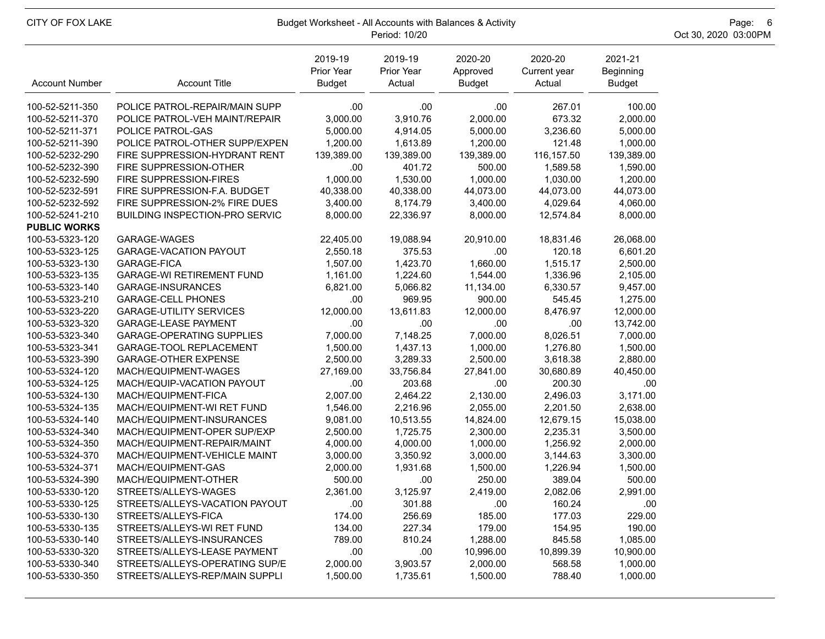| CITY OF FOX LAKE      |                                       | Budget Worksheet - All Accounts with Balances & Activity<br>Oct 30, 2020 03:00PM<br>Period: 10/20 |                                 |                                      |                                   |                                       |  |  |  |
|-----------------------|---------------------------------------|---------------------------------------------------------------------------------------------------|---------------------------------|--------------------------------------|-----------------------------------|---------------------------------------|--|--|--|
| <b>Account Number</b> | <b>Account Title</b>                  | 2019-19<br>Prior Year<br><b>Budget</b>                                                            | 2019-19<br>Prior Year<br>Actual | 2020-20<br>Approved<br><b>Budget</b> | 2020-20<br>Current year<br>Actual | 2021-21<br>Beginning<br><b>Budget</b> |  |  |  |
| 100-52-5211-350       | POLICE PATROL-REPAIR/MAIN SUPP        | .00.                                                                                              | .00                             | .00                                  | 267.01                            | 100.00                                |  |  |  |
| 100-52-5211-370       | POLICE PATROL-VEH MAINT/REPAIR        | 3,000.00                                                                                          | 3,910.76                        | 2,000.00                             | 673.32                            | 2,000.00                              |  |  |  |
| 100-52-5211-371       | POLICE PATROL-GAS                     | 5,000.00                                                                                          | 4,914.05                        | 5,000.00                             | 3,236.60                          | 5,000.00                              |  |  |  |
| 100-52-5211-390       | POLICE PATROL-OTHER SUPP/EXPEN        | 1,200.00                                                                                          | 1,613.89                        | 1,200.00                             | 121.48                            | 1,000.00                              |  |  |  |
| 100-52-5232-290       | FIRE SUPPRESSION-HYDRANT RENT         | 139,389.00                                                                                        | 139,389.00                      | 139,389.00                           | 116,157.50                        | 139,389.00                            |  |  |  |
| 100-52-5232-390       | FIRE SUPPRESSION-OTHER                | .00.                                                                                              | 401.72                          | 500.00                               | 1,589.58                          | 1,590.00                              |  |  |  |
| 100-52-5232-590       | FIRE SUPPRESSION-FIRES                | 1,000.00                                                                                          | 1,530.00                        | 1,000.00                             | 1,030.00                          | 1,200.00                              |  |  |  |
| 100-52-5232-591       | FIRE SUPPRESSION-F.A. BUDGET          | 40,338.00                                                                                         | 40,338.00                       | 44,073.00                            | 44,073.00                         | 44,073.00                             |  |  |  |
| 100-52-5232-592       | FIRE SUPPRESSION-2% FIRE DUES         | 3,400.00                                                                                          | 8,174.79                        | 3,400.00                             | 4,029.64                          | 4,060.00                              |  |  |  |
| 100-52-5241-210       | <b>BUILDING INSPECTION-PRO SERVIC</b> | 8,000.00                                                                                          | 22,336.97                       | 8,000.00                             | 12,574.84                         | 8,000.00                              |  |  |  |
| <b>PUBLIC WORKS</b>   |                                       |                                                                                                   |                                 |                                      |                                   |                                       |  |  |  |
| 100-53-5323-120       | GARAGE-WAGES                          | 22,405.00                                                                                         | 19,088.94                       | 20,910.00                            | 18,831.46                         | 26,068.00                             |  |  |  |
| 100-53-5323-125       | <b>GARAGE-VACATION PAYOUT</b>         | 2,550.18                                                                                          | 375.53                          | .00                                  | 120.18                            | 6,601.20                              |  |  |  |
| 100-53-5323-130       | GARAGE-FICA                           | 1,507.00                                                                                          | 1,423.70                        | 1,660.00                             | 1,515.17                          | 2,500.00                              |  |  |  |
| 100-53-5323-135       | <b>GARAGE-WI RETIREMENT FUND</b>      | 1,161.00                                                                                          | 1,224.60                        | 1,544.00                             | 1,336.96                          | 2,105.00                              |  |  |  |
| 100-53-5323-140       | GARAGE-INSURANCES                     | 6,821.00                                                                                          | 5,066.82                        | 11,134.00                            | 6,330.57                          | 9,457.00                              |  |  |  |
| 100-53-5323-210       | GARAGE-CELL PHONES                    | .00.                                                                                              | 969.95                          | 900.00                               | 545.45                            | 1,275.00                              |  |  |  |
| 100-53-5323-220       | <b>GARAGE-UTILITY SERVICES</b>        | 12,000.00                                                                                         | 13,611.83                       | 12,000.00                            | 8,476.97                          | 12,000.00                             |  |  |  |
| 100-53-5323-320       | <b>GARAGE-LEASE PAYMENT</b>           | .00.                                                                                              | .00                             | .00                                  | .00                               | 13,742.00                             |  |  |  |
| 100-53-5323-340       | <b>GARAGE-OPERATING SUPPLIES</b>      | 7,000.00                                                                                          | 7,148.25                        | 7,000.00                             | 8,026.51                          | 7,000.00                              |  |  |  |
| 100-53-5323-341       | GARAGE-TOOL REPLACEMENT               | 1,500.00                                                                                          | 1,437.13                        | 1,000.00                             | 1,276.80                          | 1,500.00                              |  |  |  |
| 100-53-5323-390       | <b>GARAGE-OTHER EXPENSE</b>           | 2,500.00                                                                                          | 3,289.33                        | 2,500.00                             | 3,618.38                          | 2,880.00                              |  |  |  |
| 100-53-5324-120       | MACH/EQUIPMENT-WAGES                  | 27,169.00                                                                                         | 33,756.84                       | 27,841.00                            | 30,680.89                         | 40,450.00                             |  |  |  |
| 100-53-5324-125       | MACH/EQUIP-VACATION PAYOUT            | .00.                                                                                              | 203.68                          | .00                                  | 200.30                            | .00                                   |  |  |  |
| 100-53-5324-130       | MACH/EQUIPMENT-FICA                   | 2,007.00                                                                                          | 2,464.22                        | 2,130.00                             | 2,496.03                          | 3,171.00                              |  |  |  |
| 100-53-5324-135       | MACH/EQUIPMENT-WI RET FUND            | 1,546.00                                                                                          | 2,216.96                        | 2,055.00                             | 2,201.50                          | 2,638.00                              |  |  |  |
| 100-53-5324-140       | MACH/EQUIPMENT-INSURANCES             | 9,081.00                                                                                          | 10,513.55                       | 14,824.00                            | 12,679.15                         | 15,038.00                             |  |  |  |
| 100-53-5324-340       | MACH/EQUIPMENT-OPER SUP/EXP           | 2,500.00                                                                                          | 1,725.75                        | 2,300.00                             | 2,235.31                          | 3,500.00                              |  |  |  |
| 100-53-5324-350       | MACH/EQUIPMENT-REPAIR/MAINT           | 4,000.00                                                                                          | 4,000.00                        | 1,000.00                             | 1,256.92                          | 2,000.00                              |  |  |  |
| 100-53-5324-370       | MACH/EQUIPMENT-VEHICLE MAINT          | 3,000.00                                                                                          | 3,350.92                        | 3,000.00                             | 3,144.63                          | 3,300.00                              |  |  |  |
| 100-53-5324-371       | MACH/EQUIPMENT-GAS                    | 2,000.00                                                                                          | 1,931.68                        | 1,500.00                             | 1,226.94                          | 1,500.00                              |  |  |  |
| 100-53-5324-390       | MACH/EQUIPMENT-OTHER                  | 500.00                                                                                            | .00                             | 250.00                               | 389.04                            | 500.00                                |  |  |  |
| 100-53-5330-120       | STREETS/ALLEYS-WAGES                  | 2,361.00                                                                                          | 3,125.97                        | 2,419.00                             | 2,082.06                          | 2,991.00                              |  |  |  |
| 100-53-5330-125       | STREETS/ALLEYS-VACATION PAYOUT        | .00                                                                                               | 301.88                          | .00.                                 | 160.24                            | .00                                   |  |  |  |
| 100-53-5330-130       | STREETS/ALLEYS-FICA                   | 174.00                                                                                            | 256.69                          | 185.00                               | 177.03                            | 229.00                                |  |  |  |
| 100-53-5330-135       | STREETS/ALLEYS-WI RET FUND            | 134.00                                                                                            | 227.34                          | 179.00                               | 154.95                            | 190.00                                |  |  |  |
| 100-53-5330-140       | STREETS/ALLEYS-INSURANCES             | 789.00                                                                                            | 810.24                          | 1,288.00                             | 845.58                            | 1,085.00                              |  |  |  |
| 100-53-5330-320       | STREETS/ALLEYS-LEASE PAYMENT          | .00                                                                                               | .00                             | 10,996.00                            | 10,899.39                         | 10,900.00                             |  |  |  |
| 100-53-5330-340       | STREETS/ALLEYS-OPERATING SUP/E        | 2,000.00                                                                                          | 3,903.57                        | 2,000.00                             | 568.58                            | 1,000.00                              |  |  |  |
| 100-53-5330-350       | STREETS/ALLEYS-REP/MAIN SUPPLI        | 1,500.00                                                                                          | 1,735.61                        | 1,500.00                             | 788.40                            | 1,000.00                              |  |  |  |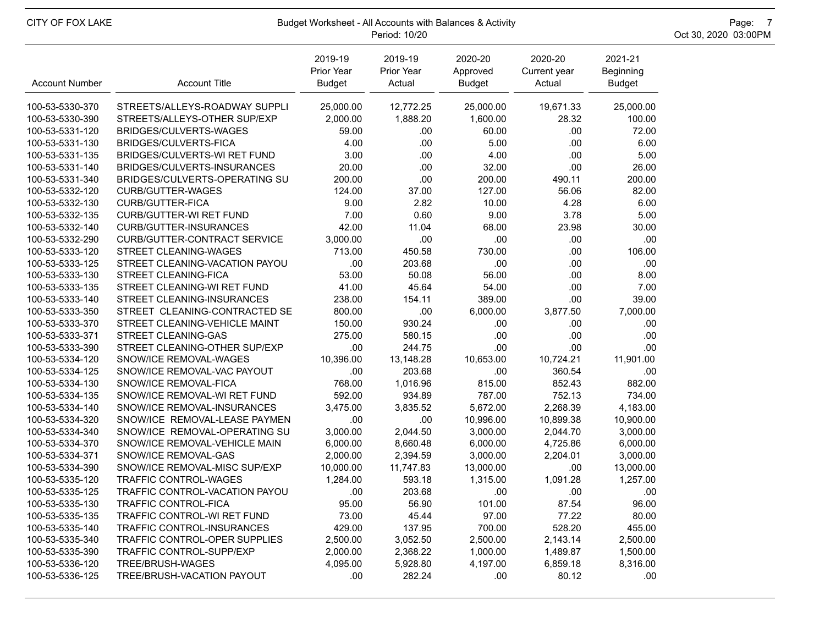| CITY OF FOX LAKE                   | Budget Worksheet - All Accounts with Balances & Activity | Page: 7<br>Oct 30, 2020 03:00PM        |                                 |                                      |                                   |                                       |  |
|------------------------------------|----------------------------------------------------------|----------------------------------------|---------------------------------|--------------------------------------|-----------------------------------|---------------------------------------|--|
| <b>Account Number</b>              | <b>Account Title</b>                                     | 2019-19<br>Prior Year<br><b>Budget</b> | 2019-19<br>Prior Year<br>Actual | 2020-20<br>Approved<br><b>Budget</b> | 2020-20<br>Current year<br>Actual | 2021-21<br>Beginning<br><b>Budget</b> |  |
| 100-53-5330-370                    | STREETS/ALLEYS-ROADWAY SUPPLI                            | 25,000.00                              | 12,772.25                       | 25,000.00                            | 19,671.33                         | 25,000.00                             |  |
| 100-53-5330-390                    | STREETS/ALLEYS-OTHER SUP/EXP                             | 2,000.00                               | 1,888.20                        | 1,600.00                             | 28.32                             | 100.00                                |  |
| 100-53-5331-120                    | BRIDGES/CULVERTS-WAGES                                   | 59.00                                  | .00.                            | 60.00                                | .00.                              | 72.00                                 |  |
| 100-53-5331-130                    | BRIDGES/CULVERTS-FICA                                    | 4.00                                   | .00                             | 5.00                                 | .00.                              | 6.00                                  |  |
| 100-53-5331-135                    | BRIDGES/CULVERTS-WI RET FUND                             | 3.00                                   | .00                             | 4.00                                 | .00                               | 5.00                                  |  |
| 100-53-5331-140                    | BRIDGES/CULVERTS-INSURANCES                              | 20.00                                  | .00                             | 32.00                                | .00                               | 26.00                                 |  |
| 100-53-5331-340                    | BRIDGES/CULVERTS-OPERATING SU                            | 200.00                                 | .00                             | 200.00                               | 490.11                            | 200.00                                |  |
| 100-53-5332-120                    | <b>CURB/GUTTER-WAGES</b>                                 | 124.00                                 | 37.00                           | 127.00                               | 56.06                             | 82.00                                 |  |
| 100-53-5332-130                    | CURB/GUTTER-FICA                                         | 9.00                                   | 2.82                            | 10.00                                | 4.28                              | 6.00                                  |  |
| 100-53-5332-135                    | CURB/GUTTER-WI RET FUND                                  | 7.00                                   | 0.60                            | 9.00                                 | 3.78                              | 5.00                                  |  |
| 100-53-5332-140                    | CURB/GUTTER-INSURANCES                                   | 42.00                                  | 11.04                           | 68.00                                | 23.98                             | 30.00                                 |  |
| 100-53-5332-290                    | <b>CURB/GUTTER-CONTRACT SERVICE</b>                      | 3,000.00                               | .00                             | .00                                  | .00.                              | .00                                   |  |
| 100-53-5333-120                    | STREET CLEANING-WAGES                                    | 713.00                                 | 450.58                          | 730.00                               | .00                               | 106.00                                |  |
| 100-53-5333-125                    | STREET CLEANING-VACATION PAYOU                           | .00                                    | 203.68                          | .00                                  | .00.                              | .00                                   |  |
| 100-53-5333-130                    | STREET CLEANING-FICA                                     | 53.00                                  | 50.08                           | 56.00                                | .00.                              | 8.00                                  |  |
| 100-53-5333-135                    | STREET CLEANING-WI RET FUND                              | 41.00                                  | 45.64                           | 54.00                                | .00                               | 7.00                                  |  |
| 100-53-5333-140                    | STREET CLEANING-INSURANCES                               | 238.00                                 | 154.11                          | 389.00                               | .00                               | 39.00                                 |  |
| 100-53-5333-350                    | STREET CLEANING-CONTRACTED SE                            | 800.00                                 | .00                             | 6,000.00                             | 3,877.50                          | 7,000.00                              |  |
| 100-53-5333-370                    | STREET CLEANING-VEHICLE MAINT                            | 150.00                                 | 930.24                          | .00                                  | .00                               | .00                                   |  |
| 100-53-5333-371                    | STREET CLEANING-GAS                                      | 275.00                                 | 580.15                          | .00                                  | .00                               | .00                                   |  |
| 100-53-5333-390                    | STREET CLEANING-OTHER SUP/EXP                            | .00.                                   | 244.75                          | .00                                  | .00                               | .00                                   |  |
| 100-53-5334-120                    | SNOW/ICE REMOVAL-WAGES                                   | 10,396.00                              | 13,148.28                       | 10,653.00                            | 10,724.21                         | 11,901.00                             |  |
| 100-53-5334-125                    | SNOW/ICE REMOVAL-VAC PAYOUT                              | .00                                    | 203.68                          | .00                                  | 360.54                            | .00                                   |  |
| 100-53-5334-130                    | SNOW/ICE REMOVAL-FICA                                    | 768.00                                 | 1,016.96                        | 815.00                               | 852.43                            | 882.00                                |  |
| 100-53-5334-135                    | SNOW/ICE REMOVAL-WI RET FUND                             | 592.00                                 | 934.89                          | 787.00                               | 752.13                            | 734.00                                |  |
| 100-53-5334-140                    | SNOW/ICE REMOVAL-INSURANCES                              | 3,475.00                               | 3,835.52                        | 5,672.00                             | 2,268.39                          | 4,183.00                              |  |
| 100-53-5334-320                    | SNOW/ICE REMOVAL-LEASE PAYMEN                            | .00                                    | .00                             | 10,996.00                            | 10,899.38                         | 10,900.00                             |  |
| 100-53-5334-340                    | SNOW/ICE REMOVAL-OPERATING SU                            | 3,000.00                               | 2,044.50                        | 3,000.00                             | 2,044.70<br>4,725.86              | 3,000.00                              |  |
| 100-53-5334-370                    | SNOW/ICE REMOVAL-VEHICLE MAIN                            | 6,000.00                               | 8,660.48                        | 6,000.00                             |                                   | 6,000.00                              |  |
| 100-53-5334-371<br>100-53-5334-390 | SNOW/ICE REMOVAL-GAS<br>SNOW/ICE REMOVAL-MISC SUP/EXP    | 2,000.00<br>10,000.00                  | 2,394.59<br>11,747.83           | 3,000.00<br>13,000.00                | 2,204.01<br>.00                   | 3,000.00<br>13,000.00                 |  |
| 100-53-5335-120                    | TRAFFIC CONTROL-WAGES                                    |                                        |                                 |                                      |                                   | 1,257.00                              |  |
|                                    | TRAFFIC CONTROL-VACATION PAYOU                           | 1,284.00<br>.00                        | 593.18                          | 1,315.00                             | 1,091.28                          |                                       |  |
| 100-53-5335-125<br>100-53-5335-130 | <b>TRAFFIC CONTROL-FICA</b>                              | 95.00                                  | 203.68<br>56.90                 | .00<br>101.00                        | .00<br>87.54                      | .00<br>96.00                          |  |
| 100-53-5335-135                    | TRAFFIC CONTROL-WI RET FUND                              | 73.00                                  | 45.44                           | 97.00                                | 77.22                             | 80.00                                 |  |
| 100-53-5335-140                    | TRAFFIC CONTROL-INSURANCES                               | 429.00                                 | 137.95                          | 700.00                               | 528.20                            | 455.00                                |  |
| 100-53-5335-340                    | TRAFFIC CONTROL-OPER SUPPLIES                            | 2,500.00                               | 3,052.50                        | 2,500.00                             | 2,143.14                          | 2,500.00                              |  |
| 100-53-5335-390                    | <b>TRAFFIC CONTROL-SUPP/EXP</b>                          | 2,000.00                               | 2,368.22                        | 1,000.00                             | 1,489.87                          | 1,500.00                              |  |
| 100-53-5336-120                    | TREE/BRUSH-WAGES                                         | 4,095.00                               | 5,928.80                        | 4,197.00                             | 6,859.18                          | 8,316.00                              |  |
| 100-53-5336-125                    | TREE/BRUSH-VACATION PAYOUT                               | .00.                                   | 282.24                          | .00.                                 | 80.12                             | .00                                   |  |
|                                    |                                                          |                                        |                                 |                                      |                                   |                                       |  |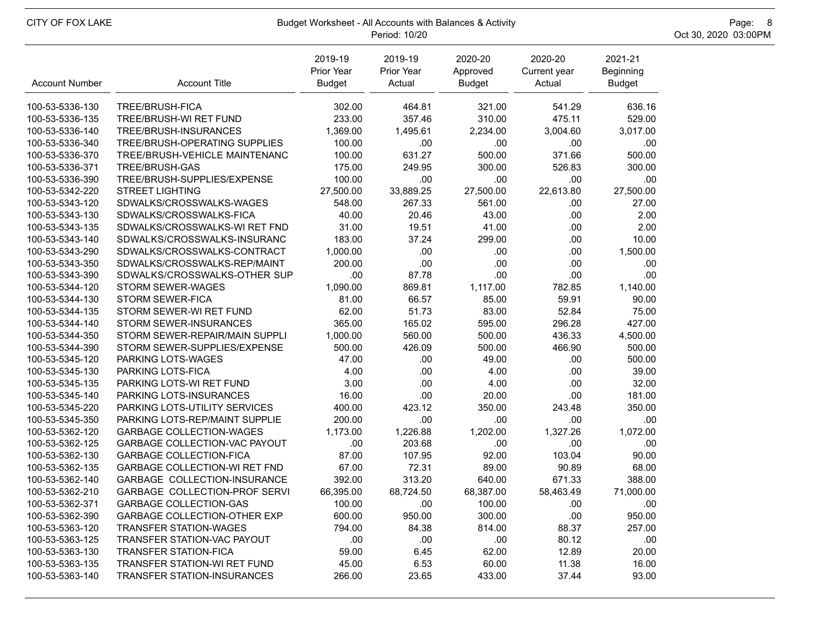| CITY OF FOX LAKE      | Budget Worksheet - All Accounts with Balances & Activity | Page: 8<br>Oct 30, 2020 03:00PM        |                                 |                                      |                                   |                                       |  |
|-----------------------|----------------------------------------------------------|----------------------------------------|---------------------------------|--------------------------------------|-----------------------------------|---------------------------------------|--|
| <b>Account Number</b> | <b>Account Title</b>                                     | 2019-19<br>Prior Year<br><b>Budget</b> | 2019-19<br>Prior Year<br>Actual | 2020-20<br>Approved<br><b>Budget</b> | 2020-20<br>Current year<br>Actual | 2021-21<br>Beginning<br><b>Budget</b> |  |
| 100-53-5336-130       | TREE/BRUSH-FICA                                          | 302.00                                 | 464.81                          | 321.00                               | 541.29                            | 636.16                                |  |
| 100-53-5336-135       | TREE/BRUSH-WI RET FUND                                   | 233.00                                 | 357.46                          | 310.00                               | 475.11                            | 529.00                                |  |
| 100-53-5336-140       | TREE/BRUSH-INSURANCES                                    | 1,369.00                               | 1,495.61                        | 2,234.00                             | 3,004.60                          | 3,017.00                              |  |
| 100-53-5336-340       | TREE/BRUSH-OPERATING SUPPLIES                            | 100.00                                 | .00                             | .00                                  | .00                               | .00                                   |  |
| 100-53-5336-370       | TREE/BRUSH-VEHICLE MAINTENANC                            | 100.00                                 | 631.27                          | 500.00                               | 371.66                            | 500.00                                |  |
| 100-53-5336-371       | TREE/BRUSH-GAS                                           | 175.00                                 | 249.95                          | 300.00                               | 526.83                            | 300.00                                |  |
| 100-53-5336-390       | TREE/BRUSH-SUPPLIES/EXPENSE                              | 100.00                                 | .00                             | .00                                  | .00                               | .00                                   |  |
| 100-53-5342-220       | <b>STREET LIGHTING</b>                                   | 27,500.00                              | 33,889.25                       | 27,500.00                            | 22,613.80                         | 27,500.00                             |  |
| 100-53-5343-120       | SDWALKS/CROSSWALKS-WAGES                                 | 548.00                                 | 267.33                          | 561.00                               | .00                               | 27.00                                 |  |
| 100-53-5343-130       | SDWALKS/CROSSWALKS-FICA                                  | 40.00                                  | 20.46                           | 43.00                                | .00                               | 2.00                                  |  |
| 100-53-5343-135       | SDWALKS/CROSSWALKS-WI RET FND                            | 31.00                                  | 19.51                           | 41.00                                | .00                               | 2.00                                  |  |
| 100-53-5343-140       | SDWALKS/CROSSWALKS-INSURANC                              | 183.00                                 | 37.24                           | 299.00                               | .00.                              | 10.00                                 |  |
| 100-53-5343-290       | SDWALKS/CROSSWALKS-CONTRACT                              | 1,000.00                               | .00                             | .00                                  | .00                               | 1,500.00                              |  |
| 100-53-5343-350       | SDWALKS/CROSSWALKS-REP/MAINT                             | 200.00                                 | .00                             | .00                                  | .00                               | .00                                   |  |
| 100-53-5343-390       | SDWALKS/CROSSWALKS-OTHER SUP                             | .00                                    | 87.78                           | .00                                  | .00                               | .00                                   |  |
| 100-53-5344-120       | <b>STORM SEWER-WAGES</b>                                 | 1,090.00                               | 869.81                          | 1,117.00                             | 782.85                            | 1,140.00                              |  |
| 100-53-5344-130       | <b>STORM SEWER-FICA</b>                                  | 81.00                                  | 66.57                           | 85.00                                | 59.91                             | 90.00                                 |  |
| 100-53-5344-135       | STORM SEWER-WI RET FUND                                  | 62.00                                  | 51.73                           | 83.00                                | 52.84                             | 75.00                                 |  |
| 100-53-5344-140       | STORM SEWER-INSURANCES                                   | 365.00                                 | 165.02                          | 595.00                               | 296.28                            | 427.00                                |  |
| 100-53-5344-350       | STORM SEWER-REPAIR/MAIN SUPPLI                           | 1,000.00                               | 560.00                          | 500.00                               | 436.33                            | 4,500.00                              |  |
| 100-53-5344-390       | STORM SEWER-SUPPLIES/EXPENSE                             | 500.00                                 | 426.09                          | 500.00                               | 466.90                            | 500.00                                |  |
| 100-53-5345-120       | PARKING LOTS-WAGES                                       | 47.00                                  | .00                             | 49.00                                | .00                               | 500.00                                |  |
| 100-53-5345-130       | PARKING LOTS-FICA                                        | 4.00                                   | .00                             | 4.00                                 | .00                               | 39.00                                 |  |
| 100-53-5345-135       | PARKING LOTS-WI RET FUND                                 | 3.00                                   | .00                             | 4.00                                 | .00                               | 32.00                                 |  |
| 100-53-5345-140       | PARKING LOTS-INSURANCES                                  | 16.00                                  | .00                             | 20.00                                | .00                               | 181.00                                |  |
| 100-53-5345-220       | PARKING LOTS-UTILITY SERVICES                            | 400.00                                 | 423.12                          | 350.00                               | 243.48                            | 350.00                                |  |
| 100-53-5345-350       | PARKING LOTS-REP/MAINT SUPPLIE                           | 200.00                                 | .00                             | .00                                  | .00                               | .00                                   |  |
| 100-53-5362-120       | <b>GARBAGE COLLECTION-WAGES</b>                          | 1,173.00                               | 1,226.88                        | 1,202.00                             | 1,327.26                          | 1,072.00                              |  |
| 100-53-5362-125       | GARBAGE COLLECTION-VAC PAYOUT                            | .00                                    | 203.68                          | .00                                  | .00                               | .00                                   |  |
| 100-53-5362-130       | <b>GARBAGE COLLECTION-FICA</b>                           | 87.00                                  | 107.95                          | 92.00                                | 103.04                            | 90.00                                 |  |
| 100-53-5362-135       | <b>GARBAGE COLLECTION-WI RET FND</b>                     | 67.00                                  | 72.31                           | 89.00                                | 90.89                             | 68.00                                 |  |
| 100-53-5362-140       | GARBAGE COLLECTION-INSURANCE                             | 392.00                                 | 313.20                          | 640.00                               | 671.33                            | 388.00                                |  |
| 100-53-5362-210       | GARBAGE COLLECTION-PROF SERVI                            | 66,395.00                              | 68,724.50                       | 68,387.00                            | 58,463.49                         | 71,000.00                             |  |
| 100-53-5362-371       | <b>GARBAGE COLLECTION-GAS</b>                            | 100.00                                 | .00.                            | 100.00                               | .00                               | .00                                   |  |
| 100-53-5362-390       | <b>GARBAGE COLLECTION-OTHER EXP</b>                      | 600.00                                 | 950.00                          | 300.00                               | .00                               | 950.00                                |  |
| 100-53-5363-120       | <b>TRANSFER STATION-WAGES</b>                            | 794.00                                 | 84.38                           | 814.00                               | 88.37                             | 257.00                                |  |
| 100-53-5363-125       | TRANSFER STATION-VAC PAYOUT                              | .00                                    | .00                             | .00                                  | 80.12                             | .00                                   |  |
| 100-53-5363-130       | <b>TRANSFER STATION-FICA</b>                             | 59.00                                  | 6.45                            | 62.00                                | 12.89                             | 20.00                                 |  |
| 100-53-5363-135       | <b>TRANSFER STATION-WI RET FUND</b>                      | 45.00                                  | 6.53                            | 60.00                                | 11.38                             | 16.00                                 |  |
| 100-53-5363-140       | TRANSFER STATION-INSURANCES                              | 266.00                                 | 23.65                           | 433.00                               | 37.44                             | 93.00                                 |  |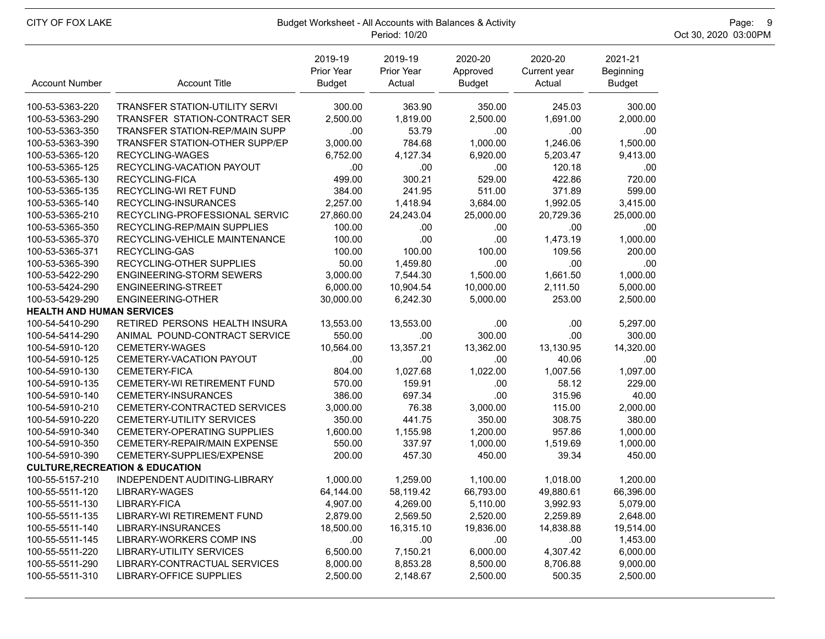| CITY OF FOX LAKE                 | Budget Worksheet - All Accounts with Balances & Activity | Page: 9<br>Oct 30, 2020 03:00PM        |                                 |                                      |                                   |                                |  |
|----------------------------------|----------------------------------------------------------|----------------------------------------|---------------------------------|--------------------------------------|-----------------------------------|--------------------------------|--|
| <b>Account Number</b>            | <b>Account Title</b>                                     | 2019-19<br>Prior Year<br><b>Budget</b> | 2019-19<br>Prior Year<br>Actual | 2020-20<br>Approved<br><b>Budget</b> | 2020-20<br>Current year<br>Actual | 2021-21<br>Beginning<br>Budget |  |
| 100-53-5363-220                  | TRANSFER STATION-UTILITY SERVI                           | 300.00                                 | 363.90                          | 350.00                               | 245.03                            | 300.00                         |  |
| 100-53-5363-290                  | TRANSFER STATION-CONTRACT SER                            | 2,500.00                               | 1,819.00                        | 2,500.00                             | 1,691.00                          | 2,000.00                       |  |
| 100-53-5363-350                  | TRANSFER STATION-REP/MAIN SUPP                           | .00                                    | 53.79                           | .00                                  | .00                               | .00                            |  |
| 100-53-5363-390                  | <b>TRANSFER STATION-OTHER SUPP/EP</b>                    | 3,000.00                               | 784.68                          | 1,000.00                             | 1,246.06                          | 1,500.00                       |  |
| 100-53-5365-120                  | RECYCLING-WAGES                                          | 6,752.00                               | 4,127.34                        | 6,920.00                             | 5,203.47                          | 9,413.00                       |  |
| 100-53-5365-125                  | RECYCLING-VACATION PAYOUT                                | .00                                    | .00                             | .00                                  | 120.18                            | .00                            |  |
| 100-53-5365-130                  | RECYCLING-FICA                                           | 499.00                                 | 300.21                          | 529.00                               | 422.86                            | 720.00                         |  |
| 100-53-5365-135                  | RECYCLING-WI RET FUND                                    | 384.00                                 | 241.95                          | 511.00                               | 371.89                            | 599.00                         |  |
| 100-53-5365-140                  | RECYCLING-INSURANCES                                     | 2,257.00                               | 1,418.94                        | 3,684.00                             | 1,992.05                          | 3,415.00                       |  |
| 100-53-5365-210                  | RECYCLING-PROFESSIONAL SERVIC                            | 27,860.00                              | 24,243.04                       | 25,000.00                            | 20,729.36                         | 25,000.00                      |  |
| 100-53-5365-350                  | RECYCLING-REP/MAIN SUPPLIES                              | 100.00                                 | .00.                            | .00                                  | .00                               | .00                            |  |
| 100-53-5365-370                  | RECYCLING-VEHICLE MAINTENANCE                            | 100.00                                 | .00                             | .00                                  | 1,473.19                          | 1,000.00                       |  |
| 100-53-5365-371                  | RECYCLING-GAS                                            | 100.00                                 | 100.00                          | 100.00                               | 109.56                            | 200.00                         |  |
| 100-53-5365-390                  | RECYCLING-OTHER SUPPLIES                                 | 50.00                                  | 1,459.80                        | .00                                  | .00                               | .00                            |  |
| 100-53-5422-290                  | <b>ENGINEERING-STORM SEWERS</b>                          | 3,000.00                               | 7,544.30                        | 1,500.00                             | 1,661.50                          | 1,000.00                       |  |
| 100-53-5424-290                  | ENGINEERING-STREET                                       | 6,000.00                               | 10,904.54                       | 10,000.00                            | 2,111.50                          | 5,000.00                       |  |
| 100-53-5429-290                  | ENGINEERING-OTHER                                        | 30,000.00                              | 6,242.30                        | 5,000.00                             | 253.00                            | 2,500.00                       |  |
| <b>HEALTH AND HUMAN SERVICES</b> |                                                          |                                        |                                 |                                      |                                   |                                |  |
| 100-54-5410-290                  | RETIRED PERSONS HEALTH INSURA                            | 13,553.00                              | 13,553.00                       | .00                                  | .00.                              | 5,297.00                       |  |
| 100-54-5414-290                  | ANIMAL POUND-CONTRACT SERVICE                            | 550.00                                 | .00                             | 300.00                               | .00                               | 300.00                         |  |
| 100-54-5910-120                  | CEMETERY-WAGES                                           | 10,564.00                              | 13,357.21                       | 13,362.00                            | 13,130.95                         | 14,320.00                      |  |
| 100-54-5910-125                  | CEMETERY-VACATION PAYOUT                                 | .00                                    | .00                             | .00                                  | 40.06                             | .00                            |  |
| 100-54-5910-130                  | CEMETERY-FICA                                            | 804.00                                 | 1,027.68                        | 1,022.00                             | 1,007.56                          | 1,097.00                       |  |
| 100-54-5910-135                  | CEMETERY-WI RETIREMENT FUND                              | 570.00                                 | 159.91                          | .00                                  | 58.12                             | 229.00                         |  |
| 100-54-5910-140                  | CEMETERY-INSURANCES                                      | 386.00                                 | 697.34                          | .00                                  | 315.96                            | 40.00                          |  |
| 100-54-5910-210                  | CEMETERY-CONTRACTED SERVICES                             | 3,000.00                               | 76.38                           | 3,000.00                             | 115.00                            | 2,000.00                       |  |
| 100-54-5910-220                  | CEMETERY-UTILITY SERVICES                                | 350.00                                 | 441.75                          | 350.00                               | 308.75                            | 380.00                         |  |
| 100-54-5910-340                  | CEMETERY-OPERATING SUPPLIES                              | 1,600.00                               | 1,155.98                        | 1,200.00                             | 957.86                            | 1,000.00                       |  |
| 100-54-5910-350                  | CEMETERY-REPAIR/MAIN EXPENSE                             | 550.00                                 | 337.97                          | 1,000.00                             | 1,519.69                          | 1,000.00                       |  |
| 100-54-5910-390                  | CEMETERY-SUPPLIES/EXPENSE                                | 200.00                                 | 457.30                          | 450.00                               | 39.34                             | 450.00                         |  |
|                                  | <b>CULTURE, RECREATION &amp; EDUCATION</b>               |                                        |                                 |                                      |                                   |                                |  |
| 100-55-5157-210                  | INDEPENDENT AUDITING-LIBRARY                             | 1,000.00                               | 1,259.00                        | 1,100.00                             | 1,018.00                          | 1,200.00                       |  |
| 100-55-5511-120                  | LIBRARY-WAGES                                            | 64,144.00                              | 58,119.42                       | 66,793.00                            | 49,880.61                         | 66,396.00                      |  |
| 100-55-5511-130                  | LIBRARY-FICA                                             | 4,907.00                               | 4,269.00                        | 5,110.00                             | 3,992.93                          | 5,079.00                       |  |
| 100-55-5511-135                  | <b>LIBRARY-WI RETIREMENT FUND</b>                        | 2,879.00                               | 2,569.50                        | 2,520.00                             | 2,259.89                          | 2,648.00                       |  |
| 100-55-5511-140                  | LIBRARY-INSURANCES                                       | 18,500.00                              | 16,315.10                       | 19,836.00                            | 14.838.88                         | 19,514.00                      |  |
| 100-55-5511-145                  | LIBRARY-WORKERS COMP INS                                 | .00                                    | .00                             | .00                                  | .00                               | 1,453.00                       |  |
| 100-55-5511-220                  | LIBRARY-UTILITY SERVICES                                 | 6,500.00                               | 7,150.21                        | 6,000.00                             | 4,307.42                          | 6,000.00                       |  |
| 100-55-5511-290                  | LIBRARY-CONTRACTUAL SERVICES                             | 8,000.00                               | 8,853.28                        | 8,500.00                             | 8,706.88                          | 9,000.00                       |  |
| 100-55-5511-310                  | LIBRARY-OFFICE SUPPLIES                                  | 2,500.00                               | 2,148.67                        | 2,500.00                             | 500.35                            | 2,500.00                       |  |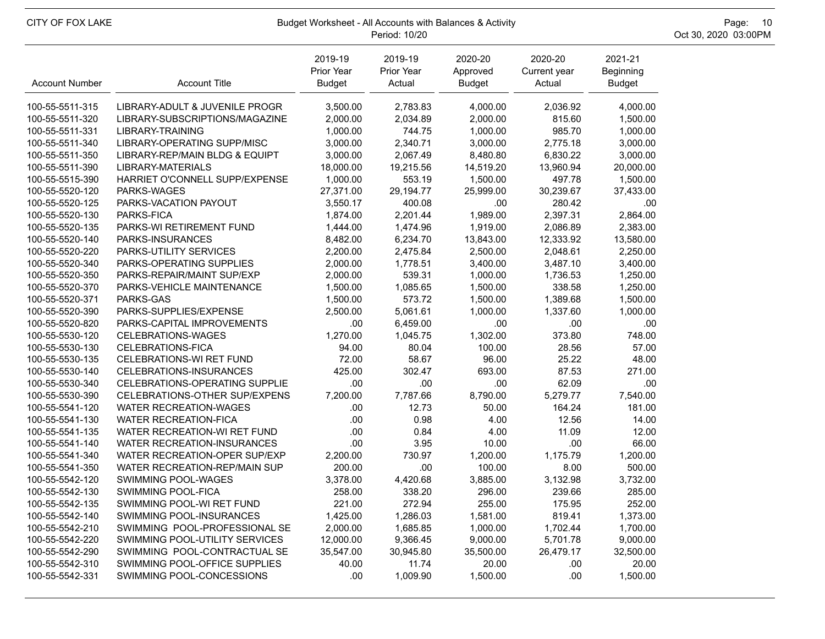| CITY OF FOX LAKE      | Budget Worksheet - All Accounts with Balances & Activity | Page: 10<br>Oct 30, 2020 03:00PM       |                                 |                                      |                                   |                                       |  |
|-----------------------|----------------------------------------------------------|----------------------------------------|---------------------------------|--------------------------------------|-----------------------------------|---------------------------------------|--|
| <b>Account Number</b> | <b>Account Title</b>                                     | 2019-19<br>Prior Year<br><b>Budget</b> | 2019-19<br>Prior Year<br>Actual | 2020-20<br>Approved<br><b>Budget</b> | 2020-20<br>Current year<br>Actual | 2021-21<br>Beginning<br><b>Budget</b> |  |
| 100-55-5511-315       | LIBRARY-ADULT & JUVENILE PROGR                           | 3,500.00                               | 2,783.83                        | 4,000.00                             | 2,036.92                          | 4,000.00                              |  |
| 100-55-5511-320       | LIBRARY-SUBSCRIPTIONS/MAGAZINE                           | 2,000.00                               | 2,034.89                        | 2,000.00                             | 815.60                            | 1,500.00                              |  |
| 100-55-5511-331       | LIBRARY-TRAINING                                         | 1,000.00                               | 744.75                          | 1,000.00                             | 985.70                            | 1,000.00                              |  |
| 100-55-5511-340       | LIBRARY-OPERATING SUPP/MISC                              | 3,000.00                               | 2,340.71                        | 3,000.00                             | 2,775.18                          | 3,000.00                              |  |
| 100-55-5511-350       | LIBRARY-REP/MAIN BLDG & EQUIPT                           | 3,000.00                               | 2,067.49                        | 8,480.80                             | 6,830.22                          | 3,000.00                              |  |
| 100-55-5511-390       | LIBRARY-MATERIALS                                        | 18,000.00                              | 19,215.56                       | 14,519.20                            | 13,960.94                         | 20,000.00                             |  |
| 100-55-5515-390       | HARRIET O'CONNELL SUPP/EXPENSE                           | 1,000.00                               | 553.19                          | 1,500.00                             | 497.78                            | 1,500.00                              |  |
| 100-55-5520-120       | PARKS-WAGES                                              | 27,371.00                              | 29,194.77                       | 25,999.00                            | 30,239.67                         | 37,433.00                             |  |
| 100-55-5520-125       | PARKS-VACATION PAYOUT                                    | 3,550.17                               | 400.08                          | .00                                  | 280.42                            | .00                                   |  |
| 100-55-5520-130       | PARKS-FICA                                               | 1,874.00                               | 2,201.44                        | 1,989.00                             | 2,397.31                          | 2,864.00                              |  |
| 100-55-5520-135       | PARKS-WI RETIREMENT FUND                                 | 1,444.00                               | 1,474.96                        | 1,919.00                             | 2,086.89                          | 2,383.00                              |  |
| 100-55-5520-140       | PARKS-INSURANCES                                         | 8,482.00                               | 6,234.70                        | 13,843.00                            | 12,333.92                         | 13,580.00                             |  |
| 100-55-5520-220       | PARKS-UTILITY SERVICES                                   | 2,200.00                               | 2,475.84                        | 2,500.00                             | 2,048.61                          | 2,250.00                              |  |
| 100-55-5520-340       | PARKS-OPERATING SUPPLIES                                 | 2,000.00                               | 1,778.51                        | 3,400.00                             | 3,487.10                          | 3,400.00                              |  |
| 100-55-5520-350       | PARKS-REPAIR/MAINT SUP/EXP                               | 2,000.00                               | 539.31                          | 1,000.00                             | 1,736.53                          | 1,250.00                              |  |
| 100-55-5520-370       | PARKS-VEHICLE MAINTENANCE                                | 1,500.00                               | 1,085.65                        | 1,500.00                             | 338.58                            | 1,250.00                              |  |
| 100-55-5520-371       | PARKS-GAS                                                | 1,500.00                               | 573.72                          | 1,500.00                             | 1,389.68                          | 1,500.00                              |  |
| 100-55-5520-390       | PARKS-SUPPLIES/EXPENSE                                   | 2,500.00                               | 5,061.61                        | 1,000.00                             | 1,337.60                          | 1,000.00                              |  |
| 100-55-5520-820       | PARKS-CAPITAL IMPROVEMENTS                               | .00                                    | 6,459.00                        | .00                                  | .00                               | .00                                   |  |
| 100-55-5530-120       | CELEBRATIONS-WAGES                                       | 1,270.00                               | 1,045.75                        | 1,302.00                             | 373.80                            | 748.00                                |  |
| 100-55-5530-130       | CELEBRATIONS-FICA                                        | 94.00                                  | 80.04                           | 100.00                               | 28.56                             | 57.00                                 |  |
| 100-55-5530-135       | <b>CELEBRATIONS-WI RET FUND</b>                          | 72.00                                  | 58.67                           | 96.00                                | 25.22                             | 48.00                                 |  |
| 100-55-5530-140       | CELEBRATIONS-INSURANCES                                  | 425.00                                 | 302.47                          | 693.00                               | 87.53                             | 271.00                                |  |
| 100-55-5530-340       | CELEBRATIONS-OPERATING SUPPLIE                           | .00                                    | .00                             | .00                                  | 62.09                             | .00                                   |  |
| 100-55-5530-390       | CELEBRATIONS-OTHER SUP/EXPENS                            | 7,200.00                               | 7,787.66                        | 8,790.00                             | 5,279.77                          | 7,540.00                              |  |
| 100-55-5541-120       | <b>WATER RECREATION-WAGES</b>                            | .00.                                   | 12.73                           | 50.00                                | 164.24                            | 181.00                                |  |
| 100-55-5541-130       | <b>WATER RECREATION-FICA</b>                             | .00.                                   | 0.98                            | 4.00                                 | 12.56                             | 14.00                                 |  |
| 100-55-5541-135       | WATER RECREATION-WI RET FUND                             | .00                                    | 0.84                            | 4.00                                 | 11.09                             | 12.00                                 |  |
| 100-55-5541-140       | WATER RECREATION-INSURANCES                              | .00                                    | 3.95                            | 10.00                                | .00                               | 66.00                                 |  |
| 100-55-5541-340       | WATER RECREATION-OPER SUP/EXP                            | 2,200.00                               | 730.97                          | 1,200.00                             | 1,175.79                          | 1,200.00                              |  |
| 100-55-5541-350       | WATER RECREATION-REP/MAIN SUP                            | 200.00                                 | .00                             | 100.00                               | 8.00                              | 500.00                                |  |
| 100-55-5542-120       | SWIMMING POOL-WAGES                                      | 3,378.00                               | 4,420.68                        | 3,885.00                             | 3,132.98                          | 3,732.00                              |  |
| 100-55-5542-130       | <b>SWIMMING POOL-FICA</b>                                | 258.00                                 | 338.20                          | 296.00                               | 239.66                            | 285.00                                |  |
| 100-55-5542-135       | SWIMMING POOL-WI RET FUND                                | 221.00                                 | 272.94                          | 255.00                               | 175.95                            | 252.00                                |  |
| 100-55-5542-140       | SWIMMING POOL-INSURANCES                                 | 1,425.00                               | 1,286.03                        | 1,581.00                             | 819.41                            | 1,373.00                              |  |
| 100-55-5542-210       | SWIMMING POOL-PROFESSIONAL SE                            | 2,000.00                               | 1,685.85                        | 1,000.00                             | 1,702.44                          | 1,700.00                              |  |
| 100-55-5542-220       | SWIMMING POOL-UTILITY SERVICES                           | 12,000.00                              | 9,366.45                        | 9,000.00                             | 5,701.78                          | 9,000.00                              |  |
| 100-55-5542-290       | SWIMMING POOL-CONTRACTUAL SE                             | 35,547.00                              | 30,945.80                       | 35,500.00                            | 26,479.17                         | 32,500.00                             |  |
| 100-55-5542-310       | SWIMMING POOL-OFFICE SUPPLIES                            | 40.00                                  | 11.74                           | 20.00                                | .00                               | 20.00                                 |  |
| 100-55-5542-331       | SWIMMING POOL-CONCESSIONS                                | .00                                    | 1,009.90                        | 1,500.00                             | .00                               | 1,500.00                              |  |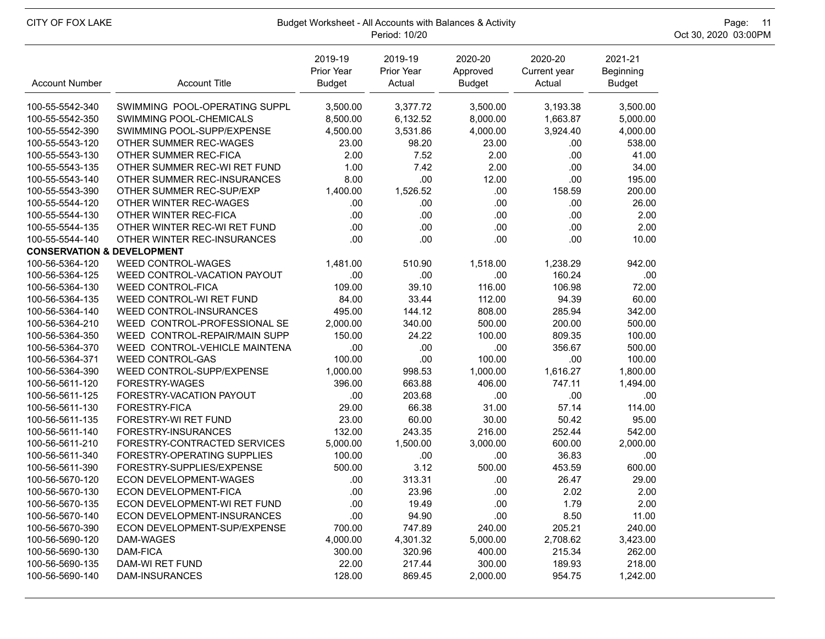| CITY OF FOX LAKE                      | Budget Worksheet - All Accounts with Balances & Activity | Page: 11<br>Oct 30, 2020 03:00PM       |                                 |                                      |                                   |                                       |  |
|---------------------------------------|----------------------------------------------------------|----------------------------------------|---------------------------------|--------------------------------------|-----------------------------------|---------------------------------------|--|
| <b>Account Number</b>                 | <b>Account Title</b>                                     | 2019-19<br>Prior Year<br><b>Budget</b> | 2019-19<br>Prior Year<br>Actual | 2020-20<br>Approved<br><b>Budget</b> | 2020-20<br>Current year<br>Actual | 2021-21<br>Beginning<br><b>Budget</b> |  |
| 100-55-5542-340                       | SWIMMING POOL-OPERATING SUPPL                            | 3,500.00                               | 3,377.72                        | 3,500.00                             | 3,193.38                          | 3,500.00                              |  |
| 100-55-5542-350                       | SWIMMING POOL-CHEMICALS                                  | 8,500.00                               | 6,132.52                        | 8,000.00                             | 1,663.87                          | 5,000.00                              |  |
| 100-55-5542-390                       | SWIMMING POOL-SUPP/EXPENSE                               | 4,500.00                               | 3,531.86                        | 4,000.00                             | 3,924.40                          | 4,000.00                              |  |
| 100-55-5543-120                       | OTHER SUMMER REC-WAGES                                   | 23.00                                  | 98.20                           | 23.00                                | .00                               | 538.00                                |  |
| 100-55-5543-130                       | OTHER SUMMER REC-FICA                                    | 2.00                                   | 7.52                            | 2.00                                 | .00                               | 41.00                                 |  |
| 100-55-5543-135                       | OTHER SUMMER REC-WI RET FUND                             | 1.00                                   | 7.42                            | 2.00                                 | .00                               | 34.00                                 |  |
| 100-55-5543-140                       | OTHER SUMMER REC-INSURANCES                              | 8.00                                   | .00                             | 12.00                                | .00                               | 195.00                                |  |
| 100-55-5543-390                       | OTHER SUMMER REC-SUP/EXP                                 | 1,400.00                               | 1,526.52                        | .00                                  | 158.59                            | 200.00                                |  |
| 100-55-5544-120                       | OTHER WINTER REC-WAGES                                   | .00                                    | .00.                            | .00                                  | .00                               | 26.00                                 |  |
| 100-55-5544-130                       | OTHER WINTER REC-FICA                                    | .00.                                   | .00                             | .00                                  | .00                               | 2.00                                  |  |
| 100-55-5544-135                       | OTHER WINTER REC-WI RET FUND                             | .00.                                   | .00                             | .00                                  | .00                               | 2.00                                  |  |
| 100-55-5544-140                       | OTHER WINTER REC-INSURANCES                              | .00.                                   | .00                             | .00                                  | .00                               | 10.00                                 |  |
| <b>CONSERVATION &amp; DEVELOPMENT</b> |                                                          |                                        |                                 |                                      |                                   |                                       |  |
| 100-56-5364-120                       | <b>WEED CONTROL-WAGES</b>                                | 1,481.00                               | 510.90                          | 1,518.00                             | 1,238.29                          | 942.00                                |  |
| 100-56-5364-125                       | WEED CONTROL-VACATION PAYOUT                             | .00                                    | .00                             | .00                                  | 160.24                            | .00                                   |  |
| 100-56-5364-130                       | <b>WEED CONTROL-FICA</b>                                 | 109.00                                 | 39.10                           | 116.00                               | 106.98                            | 72.00                                 |  |
| 100-56-5364-135                       | WEED CONTROL-WI RET FUND                                 | 84.00                                  | 33.44                           | 112.00                               | 94.39                             | 60.00                                 |  |
| 100-56-5364-140                       | <b>WEED CONTROL-INSURANCES</b>                           | 495.00                                 | 144.12                          | 808.00                               | 285.94                            | 342.00                                |  |
| 100-56-5364-210                       | WEED CONTROL-PROFESSIONAL SE                             | 2,000.00                               | 340.00                          | 500.00                               | 200.00                            | 500.00                                |  |
| 100-56-5364-350                       | WEED CONTROL-REPAIR/MAIN SUPP                            | 150.00                                 | 24.22                           | 100.00                               | 809.35                            | 100.00                                |  |
| 100-56-5364-370                       | WEED CONTROL-VEHICLE MAINTENA                            | .00.                                   | .00                             | .00                                  | 356.67                            | 500.00                                |  |
| 100-56-5364-371                       | <b>WEED CONTROL-GAS</b>                                  | 100.00                                 | .00                             | 100.00                               | .00                               | 100.00                                |  |
| 100-56-5364-390                       | WEED CONTROL-SUPP/EXPENSE                                | 1,000.00                               | 998.53                          | 1,000.00                             | 1,616.27                          | 1,800.00                              |  |
| 100-56-5611-120                       | FORESTRY-WAGES                                           | 396.00                                 | 663.88                          | 406.00                               | 747.11                            | 1,494.00                              |  |
| 100-56-5611-125                       | FORESTRY-VACATION PAYOUT                                 | .00                                    | 203.68                          | .00                                  | .00                               | .00                                   |  |
| 100-56-5611-130                       | FORESTRY-FICA                                            | 29.00                                  | 66.38                           | 31.00                                | 57.14                             | 114.00                                |  |
| 100-56-5611-135                       | FORESTRY-WI RET FUND                                     | 23.00                                  | 60.00                           | 30.00                                | 50.42                             | 95.00                                 |  |
| 100-56-5611-140                       | FORESTRY-INSURANCES                                      | 132.00                                 | 243.35                          | 216.00                               | 252.44                            | 542.00                                |  |
| 100-56-5611-210                       | FORESTRY-CONTRACTED SERVICES                             | 5,000.00                               | 1,500.00                        | 3,000.00                             | 600.00                            | 2,000.00                              |  |
| 100-56-5611-340                       | FORESTRY-OPERATING SUPPLIES                              | 100.00                                 | .00                             | .00                                  | 36.83                             | .00                                   |  |
| 100-56-5611-390                       | FORESTRY-SUPPLIES/EXPENSE                                | 500.00                                 | 3.12                            | 500.00                               | 453.59                            | 600.00                                |  |
| 100-56-5670-120                       | ECON DEVELOPMENT-WAGES                                   | .00.                                   | 313.31                          | .00                                  | 26.47                             | 29.00                                 |  |
| 100-56-5670-130                       | <b>ECON DEVELOPMENT-FICA</b>                             | .00.                                   | 23.96                           | .00.                                 | 2.02                              | 2.00                                  |  |
| 100-56-5670-135                       | ECON DEVELOPMENT-WI RET FUND                             | .00.                                   | 19.49                           | .00.                                 | 1.79                              | 2.00                                  |  |
| 100-56-5670-140                       | ECON DEVELOPMENT-INSURANCES                              | .00                                    | 94.90                           | .00                                  | 8.50                              | 11.00                                 |  |
| 100-56-5670-390                       | ECON DEVELOPMENT-SUP/EXPENSE                             | 700.00                                 | 747.89                          | 240.00                               | 205.21                            | 240.00                                |  |
| 100-56-5690-120                       | DAM-WAGES                                                | 4,000.00                               | 4,301.32                        | 5,000.00                             | 2,708.62                          | 3,423.00                              |  |
| 100-56-5690-130                       | DAM-FICA                                                 | 300.00                                 | 320.96                          | 400.00                               | 215.34                            | 262.00                                |  |
| 100-56-5690-135                       | DAM-WI RET FUND                                          | 22.00                                  | 217.44                          | 300.00                               | 189.93                            | 218.00                                |  |
| 100-56-5690-140                       | DAM-INSURANCES                                           | 128.00                                 | 869.45                          | 2,000.00                             | 954.75                            | 1,242.00                              |  |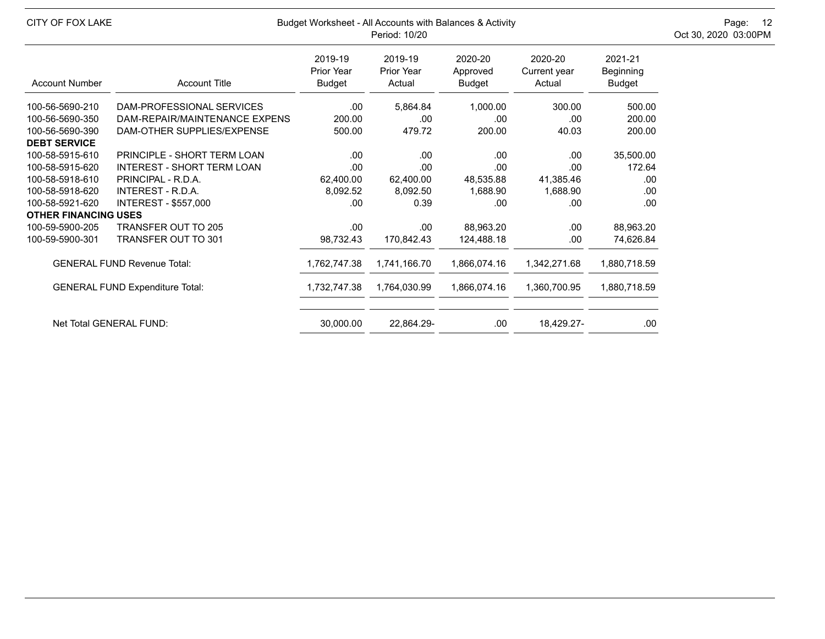| CITY OF FOX LAKE            |                                        | Budget Worksheet - All Accounts with Balances & Activity<br>Period: 10/20 |                                        |                               |                                   |                                |  |  |  |
|-----------------------------|----------------------------------------|---------------------------------------------------------------------------|----------------------------------------|-------------------------------|-----------------------------------|--------------------------------|--|--|--|
| <b>Account Number</b>       | <b>Account Title</b>                   | 2019-19<br>Prior Year<br><b>Budget</b>                                    | 2019-19<br><b>Prior Year</b><br>Actual | 2020-20<br>Approved<br>Budget | 2020-20<br>Current year<br>Actual | 2021-21<br>Beginning<br>Budget |  |  |  |
| 100-56-5690-210             | DAM-PROFESSIONAL SERVICES              | .00.                                                                      | 5,864.84                               | 1,000.00                      | 300.00                            | 500.00                         |  |  |  |
| 100-56-5690-350             | DAM-REPAIR/MAINTENANCE EXPENS          | 200.00                                                                    | .00                                    | .00                           | .00                               | 200.00                         |  |  |  |
| 100-56-5690-390             | DAM-OTHER SUPPLIES/EXPENSE             | 500.00                                                                    | 479.72                                 | 200.00                        | 40.03                             | 200.00                         |  |  |  |
| <b>DEBT SERVICE</b>         |                                        |                                                                           |                                        |                               |                                   |                                |  |  |  |
| 100-58-5915-610             | PRINCIPLE - SHORT TERM LOAN            | .00.                                                                      | .00                                    | .00                           | .00.                              | 35,500.00                      |  |  |  |
| 100-58-5915-620             | <b>INTEREST - SHORT TERM LOAN</b>      | .00                                                                       | .00                                    | .00                           | .00                               | 172.64                         |  |  |  |
| 100-58-5918-610             | PRINCIPAL - R.D.A.                     | 62,400.00                                                                 | 62,400.00                              | 48,535.88                     | 41,385.46                         | .00                            |  |  |  |
| 100-58-5918-620             | INTEREST - R.D.A.                      | 8,092.52                                                                  | 8,092.50                               | 1,688.90                      | 1,688.90                          | .00                            |  |  |  |
| 100-58-5921-620             | INTEREST - \$557,000                   | .00                                                                       | 0.39                                   | .00                           | .00                               | .00                            |  |  |  |
| <b>OTHER FINANCING USES</b> |                                        |                                                                           |                                        |                               |                                   |                                |  |  |  |
| 100-59-5900-205             | <b>TRANSFER OUT TO 205</b>             | .00.                                                                      | .00                                    | 88,963.20                     | .00.                              | 88,963.20                      |  |  |  |
| 100-59-5900-301             | <b>TRANSFER OUT TO 301</b>             | 98,732.43                                                                 | 170,842.43                             | 124,488.18                    | .00.                              | 74,626.84                      |  |  |  |
|                             | <b>GENERAL FUND Revenue Total:</b>     | 1,762,747.38                                                              | 1,741,166.70                           | 1,866,074.16                  | 1,342,271.68                      | 1,880,718.59                   |  |  |  |
|                             | <b>GENERAL FUND Expenditure Total:</b> | 1,732,747.38                                                              | 1,764,030.99                           | 1,866,074.16                  | 1,360,700.95                      | 1,880,718.59                   |  |  |  |
|                             | Net Total GENERAL FUND:                | 30,000.00                                                                 | 22,864.29-                             | .00.                          | 18,429.27-                        | .00                            |  |  |  |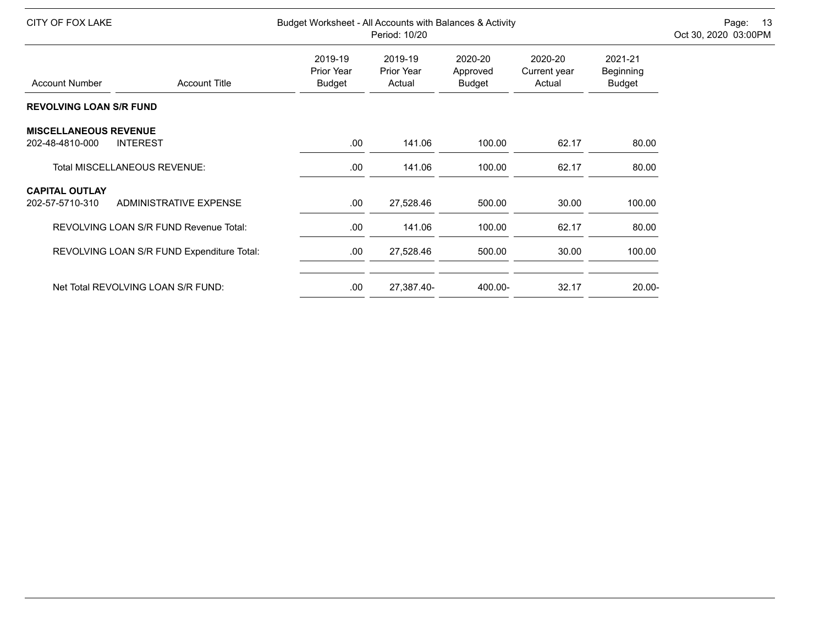| CITY OF FOX LAKE               |                                            |                                        | Budget Worksheet - All Accounts with Balances & Activity<br>Period: 10/20 |                                      |                                   |                                       |  |  |
|--------------------------------|--------------------------------------------|----------------------------------------|---------------------------------------------------------------------------|--------------------------------------|-----------------------------------|---------------------------------------|--|--|
| <b>Account Number</b>          | <b>Account Title</b>                       | 2019-19<br>Prior Year<br><b>Budget</b> | 2019-19<br>Prior Year<br>Actual                                           | 2020-20<br>Approved<br><b>Budget</b> | 2020-20<br>Current year<br>Actual | 2021-21<br>Beginning<br><b>Budget</b> |  |  |
| <b>REVOLVING LOAN S/R FUND</b> |                                            |                                        |                                                                           |                                      |                                   |                                       |  |  |
| <b>MISCELLANEOUS REVENUE</b>   |                                            |                                        |                                                                           |                                      |                                   |                                       |  |  |
| 202-48-4810-000                | <b>INTEREST</b>                            | .00.                                   | 141.06                                                                    | 100.00                               | 62.17                             | 80.00                                 |  |  |
|                                | <b>Total MISCELLANEOUS REVENUE:</b>        | .00                                    | 141.06                                                                    | 100.00                               | 62.17                             | 80.00                                 |  |  |
| <b>CAPITAL OUTLAY</b>          |                                            |                                        |                                                                           |                                      |                                   |                                       |  |  |
| 202-57-5710-310                | <b>ADMINISTRATIVE EXPENSE</b>              | .00                                    | 27,528.46                                                                 | 500.00                               | 30.00                             | 100.00                                |  |  |
|                                | REVOLVING LOAN S/R FUND Revenue Total:     | .00                                    | 141.06                                                                    | 100.00                               | 62.17                             | 80.00                                 |  |  |
|                                | REVOLVING LOAN S/R FUND Expenditure Total: | .00                                    | 27,528.46                                                                 | 500.00                               | 30.00                             | 100.00                                |  |  |
|                                | Net Total REVOLVING LOAN S/R FUND:         | .00                                    | 27,387.40-                                                                | 400.00-                              | 32.17                             | $20.00 -$                             |  |  |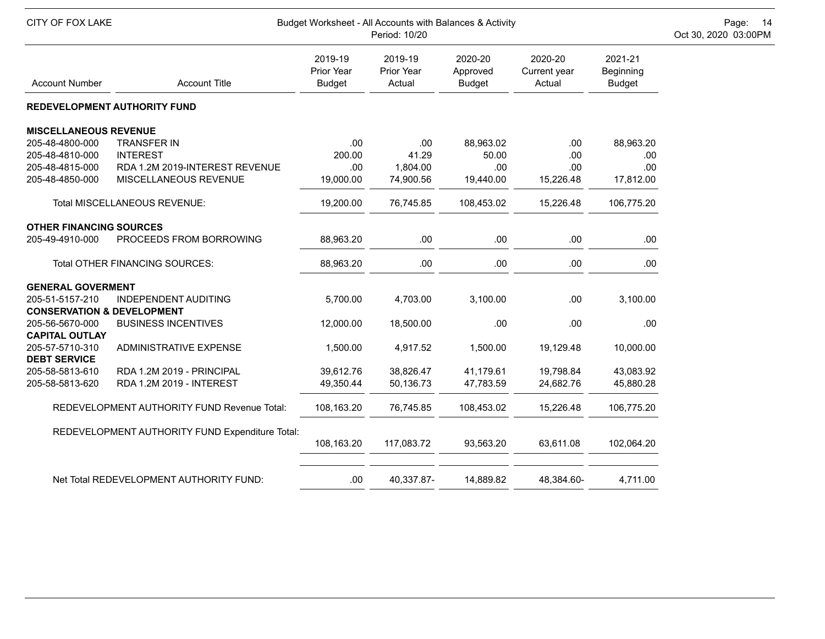| CITY OF FOX LAKE                                         |                                                 | Budget Worksheet - All Accounts with Balances & Activity | Page: 14<br>Oct 30, 2020 03:00PM |                                      |                                   |                                       |  |
|----------------------------------------------------------|-------------------------------------------------|----------------------------------------------------------|----------------------------------|--------------------------------------|-----------------------------------|---------------------------------------|--|
| <b>Account Number</b>                                    | <b>Account Title</b>                            | 2019-19<br>Prior Year<br><b>Budget</b>                   | 2019-19<br>Prior Year<br>Actual  | 2020-20<br>Approved<br><b>Budget</b> | 2020-20<br>Current year<br>Actual | 2021-21<br>Beginning<br><b>Budget</b> |  |
|                                                          | <b>REDEVELOPMENT AUTHORITY FUND</b>             |                                                          |                                  |                                      |                                   |                                       |  |
| <b>MISCELLANEOUS REVENUE</b>                             |                                                 |                                                          |                                  |                                      |                                   |                                       |  |
| 205-48-4800-000                                          | <b>TRANSFER IN</b>                              | .00                                                      | .00                              | 88,963.02                            | .00                               | 88,963.20                             |  |
| 205-48-4810-000                                          | <b>INTEREST</b>                                 | 200.00                                                   | 41.29                            | 50.00                                | .00                               | .00                                   |  |
| 205-48-4815-000                                          | RDA 1.2M 2019-INTEREST REVENUE                  | .00                                                      | 1,804.00                         | .00                                  | .00                               | .00                                   |  |
| 205-48-4850-000                                          | MISCELLANEOUS REVENUE                           | 19,000.00                                                | 74,900.56                        | 19,440.00                            | 15,226.48                         | 17,812.00                             |  |
|                                                          | Total MISCELLANEOUS REVENUE:                    | 19,200.00                                                | 76,745.85                        | 108,453.02                           | 15,226.48                         | 106,775.20                            |  |
| <b>OTHER FINANCING SOURCES</b>                           |                                                 |                                                          |                                  |                                      |                                   |                                       |  |
| 205-49-4910-000                                          | PROCEEDS FROM BORROWING                         | 88,963.20                                                | .00                              | .00                                  | .00                               | .00                                   |  |
|                                                          | Total OTHER FINANCING SOURCES:                  | 88,963.20                                                | .00                              | .00                                  | .00                               | .00                                   |  |
| <b>GENERAL GOVERMENT</b>                                 |                                                 |                                                          |                                  |                                      |                                   |                                       |  |
| 205-51-5157-210                                          | INDEPENDENT AUDITING                            | 5,700.00                                                 | 4,703.00                         | 3,100.00                             | .00                               | 3,100.00                              |  |
| <b>CONSERVATION &amp; DEVELOPMENT</b><br>205-56-5670-000 | <b>BUSINESS INCENTIVES</b>                      | 12,000.00                                                | 18,500.00                        | .00                                  | .00                               | .00                                   |  |
| <b>CAPITAL OUTLAY</b>                                    |                                                 |                                                          |                                  |                                      |                                   |                                       |  |
| 205-57-5710-310                                          | ADMINISTRATIVE EXPENSE                          | 1,500.00                                                 | 4,917.52                         | 1,500.00                             | 19,129.48                         | 10,000.00                             |  |
| <b>DEBT SERVICE</b>                                      |                                                 |                                                          |                                  |                                      |                                   |                                       |  |
| 205-58-5813-610                                          | RDA 1.2M 2019 - PRINCIPAL                       | 39,612.76                                                | 38,826.47                        | 41,179.61                            | 19,798.84                         | 43,083.92                             |  |
| 205-58-5813-620                                          | RDA 1.2M 2019 - INTEREST                        | 49,350.44                                                | 50,136.73                        | 47,783.59                            | 24,682.76                         | 45,880.28                             |  |
|                                                          | REDEVELOPMENT AUTHORITY FUND Revenue Total:     | 108,163.20                                               | 76,745.85                        | 108,453.02                           | 15,226.48                         | 106,775.20                            |  |
|                                                          | REDEVELOPMENT AUTHORITY FUND Expenditure Total: |                                                          |                                  |                                      |                                   |                                       |  |
|                                                          |                                                 | 108,163.20                                               | 117,083.72                       | 93,563.20                            | 63,611.08                         | 102,064.20                            |  |
|                                                          | Net Total REDEVELOPMENT AUTHORITY FUND:         | .00                                                      | 40,337.87-                       | 14,889.82                            | 48,384.60-                        | 4,711.00                              |  |
|                                                          |                                                 |                                                          |                                  |                                      |                                   |                                       |  |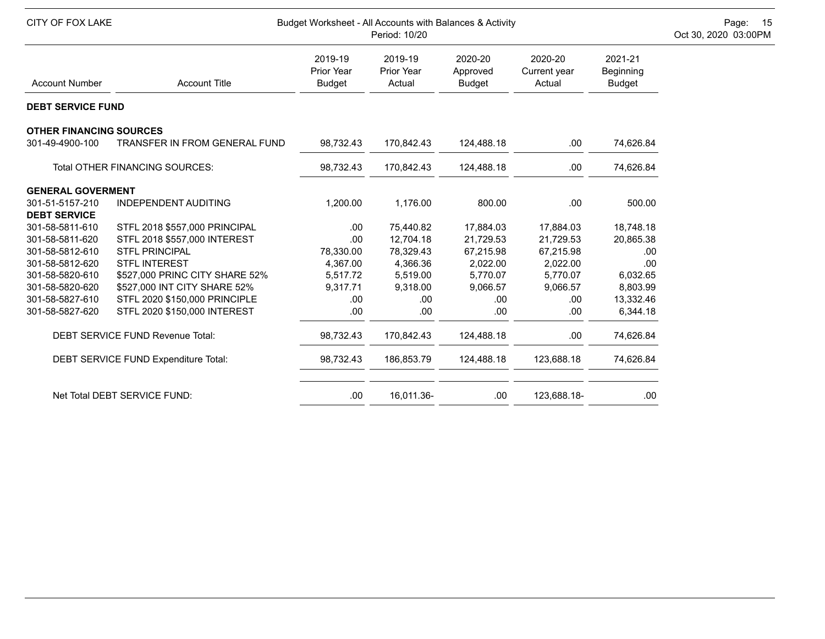| <b>CITY OF FOX LAKE</b>                |                                                                | Budget Worksheet - All Accounts with Balances & Activity<br>Period: 10/20 |                                        |                                      |                                   |                                       |  |  |  |
|----------------------------------------|----------------------------------------------------------------|---------------------------------------------------------------------------|----------------------------------------|--------------------------------------|-----------------------------------|---------------------------------------|--|--|--|
| <b>Account Number</b>                  | <b>Account Title</b>                                           | 2019-19<br>Prior Year<br><b>Budget</b>                                    | 2019-19<br><b>Prior Year</b><br>Actual | 2020-20<br>Approved<br><b>Budget</b> | 2020-20<br>Current year<br>Actual | 2021-21<br>Beginning<br><b>Budget</b> |  |  |  |
| <b>DEBT SERVICE FUND</b>               |                                                                |                                                                           |                                        |                                      |                                   |                                       |  |  |  |
| <b>OTHER FINANCING SOURCES</b>         |                                                                |                                                                           |                                        |                                      |                                   |                                       |  |  |  |
| 301-49-4900-100                        | TRANSFER IN FROM GENERAL FUND                                  | 98,732.43                                                                 | 170,842.43                             | 124,488.18                           | .00.                              | 74,626.84                             |  |  |  |
|                                        | Total OTHER FINANCING SOURCES:                                 | 98,732.43                                                                 | 170,842.43                             | 124,488.18                           | .00.                              | 74,626.84                             |  |  |  |
| <b>GENERAL GOVERMENT</b>               |                                                                |                                                                           |                                        |                                      |                                   |                                       |  |  |  |
| 301-51-5157-210<br><b>DEBT SERVICE</b> | <b>INDEPENDENT AUDITING</b>                                    | 1,200.00                                                                  | 1,176.00                               | 800.00                               | .00.                              | 500.00                                |  |  |  |
| 301-58-5811-610<br>301-58-5811-620     | STFL 2018 \$557,000 PRINCIPAL<br>STFL 2018 \$557,000 INTEREST  | .00.<br>.00                                                               | 75,440.82<br>12,704.18                 | 17,884.03<br>21,729.53               | 17,884.03<br>21,729.53            | 18,748.18<br>20,865.38                |  |  |  |
| 301-58-5812-610<br>301-58-5812-620     | <b>STFL PRINCIPAL</b><br><b>STFL INTEREST</b>                  | 78,330.00<br>4,367.00                                                     | 78,329.43<br>4,366.36                  | 67,215.98<br>2,022.00                | 67,215.98<br>2,022.00             | .00<br>.00                            |  |  |  |
| 301-58-5820-610<br>301-58-5820-620     | \$527,000 PRINC CITY SHARE 52%<br>\$527,000 INT CITY SHARE 52% | 5,517.72<br>9,317.71                                                      | 5,519.00<br>9,318.00                   | 5,770.07<br>9,066.57                 | 5,770.07<br>9,066.57              | 6,032.65<br>8,803.99                  |  |  |  |
| 301-58-5827-610<br>301-58-5827-620     | STFL 2020 \$150,000 PRINCIPLE<br>STFL 2020 \$150,000 INTEREST  | .00.<br>.00.                                                              | .00<br>.00                             | .00<br>.00                           | .00<br>.00                        | 13,332.46<br>6,344.18                 |  |  |  |
|                                        | DEBT SERVICE FUND Revenue Total:                               | 98,732.43                                                                 | 170,842.43                             | 124,488.18                           | .00.                              | 74,626.84                             |  |  |  |
|                                        | DEBT SERVICE FUND Expenditure Total:                           | 98,732.43                                                                 | 186,853.79                             | 124,488.18                           | 123,688.18                        | 74,626.84                             |  |  |  |
|                                        | Net Total DEBT SERVICE FUND:                                   | .00                                                                       | 16,011.36-                             | .00                                  | 123,688.18-                       | .00                                   |  |  |  |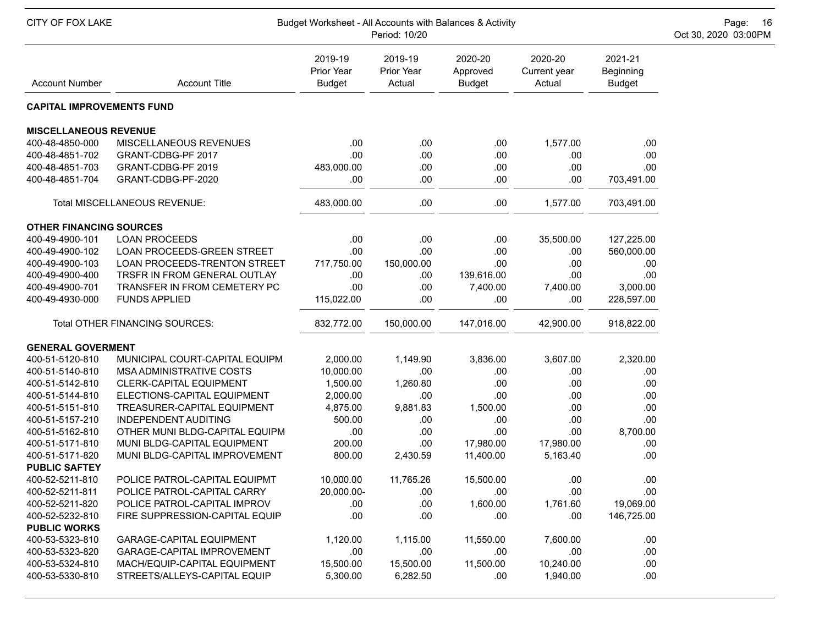| CITY OF FOX LAKE<br>Budget Worksheet - All Accounts with Balances & Activity<br>Period: 10/20 |                                 |                                        |                                 |                                      |                                   |                                       |  |  |  |
|-----------------------------------------------------------------------------------------------|---------------------------------|----------------------------------------|---------------------------------|--------------------------------------|-----------------------------------|---------------------------------------|--|--|--|
| <b>Account Number</b>                                                                         | <b>Account Title</b>            | 2019-19<br>Prior Year<br><b>Budget</b> | 2019-19<br>Prior Year<br>Actual | 2020-20<br>Approved<br><b>Budget</b> | 2020-20<br>Current year<br>Actual | 2021-21<br>Beginning<br><b>Budget</b> |  |  |  |
| <b>CAPITAL IMPROVEMENTS FUND</b>                                                              |                                 |                                        |                                 |                                      |                                   |                                       |  |  |  |
| <b>MISCELLANEOUS REVENUE</b>                                                                  |                                 |                                        |                                 |                                      |                                   |                                       |  |  |  |
| 400-48-4850-000                                                                               | MISCELLANEOUS REVENUES          | .00                                    | .00                             | .00                                  | 1,577.00                          | .00                                   |  |  |  |
| 400-48-4851-702                                                                               | GRANT-CDBG-PF 2017              | .00                                    | .00                             | .00                                  | .00                               | .00                                   |  |  |  |
| 400-48-4851-703                                                                               | GRANT-CDBG-PF 2019              | 483,000.00                             | .00                             | .00                                  | .00                               | .00                                   |  |  |  |
| 400-48-4851-704                                                                               | GRANT-CDBG-PF-2020              | .00                                    | .00                             | .00                                  | .00                               | 703,491.00                            |  |  |  |
|                                                                                               | Total MISCELLANEOUS REVENUE:    | 483,000.00                             | .00                             | .00                                  | 1,577.00                          | 703,491.00                            |  |  |  |
| <b>OTHER FINANCING SOURCES</b>                                                                |                                 |                                        |                                 |                                      |                                   |                                       |  |  |  |
| 400-49-4900-101                                                                               | <b>LOAN PROCEEDS</b>            | .00                                    | .00                             | .00                                  | 35,500.00                         | 127,225.00                            |  |  |  |
| 400-49-4900-102                                                                               | LOAN PROCEEDS-GREEN STREET      | .00                                    | .00                             | .00                                  | .00                               | 560,000.00                            |  |  |  |
| 400-49-4900-103                                                                               | LOAN PROCEEDS-TRENTON STREET    | 717,750.00                             | 150,000.00                      | .00                                  | .00                               | .00                                   |  |  |  |
| 400-49-4900-400                                                                               | TRSFR IN FROM GENERAL OUTLAY    | .00                                    | .00                             | 139,616.00                           | .00                               | .00                                   |  |  |  |
| 400-49-4900-701                                                                               | TRANSFER IN FROM CEMETERY PC    | .00                                    | .00                             | 7,400.00                             | 7,400.00                          | 3,000.00                              |  |  |  |
| 400-49-4930-000                                                                               | <b>FUNDS APPLIED</b>            | 115,022.00                             | .00                             | .00                                  | .00                               | 228,597.00                            |  |  |  |
|                                                                                               | Total OTHER FINANCING SOURCES:  | 832,772.00                             | 150,000.00                      | 147,016.00                           | 42,900.00                         | 918,822.00                            |  |  |  |
| <b>GENERAL GOVERMENT</b>                                                                      |                                 |                                        |                                 |                                      |                                   |                                       |  |  |  |
| 400-51-5120-810                                                                               | MUNICIPAL COURT-CAPITAL EQUIPM  | 2,000.00                               | 1,149.90                        | 3,836.00                             | 3,607.00                          | 2,320.00                              |  |  |  |
| 400-51-5140-810                                                                               | MSA ADMINISTRATIVE COSTS        | 10,000.00                              | .00                             | .00                                  | .00                               | .00                                   |  |  |  |
| 400-51-5142-810                                                                               | <b>CLERK-CAPITAL EQUIPMENT</b>  | 1,500.00                               | 1,260.80                        | .00                                  | .00                               | .00                                   |  |  |  |
| 400-51-5144-810                                                                               | ELECTIONS-CAPITAL EQUIPMENT     | 2,000.00                               | .00                             | .00                                  | .00                               | .00                                   |  |  |  |
| 400-51-5151-810                                                                               | TREASURER-CAPITAL EQUIPMENT     | 4,875.00                               | 9,881.83                        | 1,500.00                             | .00                               | .00                                   |  |  |  |
| 400-51-5157-210                                                                               | <b>INDEPENDENT AUDITING</b>     | 500.00                                 | .00                             | .00                                  | .00                               | .00                                   |  |  |  |
| 400-51-5162-810                                                                               | OTHER MUNI BLDG-CAPITAL EQUIPM  | .00                                    | .00                             | .00                                  | .00                               | 8,700.00                              |  |  |  |
| 400-51-5171-810                                                                               | MUNI BLDG-CAPITAL EQUIPMENT     | 200.00                                 | .00                             | 17,980.00                            | 17,980.00                         | .00                                   |  |  |  |
| 400-51-5171-820                                                                               | MUNI BLDG-CAPITAL IMPROVEMENT   | 800.00                                 | 2,430.59                        | 11,400.00                            | 5,163.40                          | .00                                   |  |  |  |
| <b>PUBLIC SAFTEY</b>                                                                          |                                 |                                        |                                 |                                      |                                   |                                       |  |  |  |
| 400-52-5211-810                                                                               | POLICE PATROL-CAPITAL EQUIPMT   | 10,000.00                              | 11,765.26                       | 15,500.00                            | .00                               | .00                                   |  |  |  |
| 400-52-5211-811                                                                               | POLICE PATROL-CAPITAL CARRY     | 20,000.00-                             | .00                             | .00                                  | .00                               | .00                                   |  |  |  |
| 400-52-5211-820                                                                               | POLICE PATROL-CAPITAL IMPROV    | .00.                                   | .00                             | 1,600.00                             | 1,761.60                          | 19,069.00                             |  |  |  |
| 400-52-5232-810                                                                               | FIRE SUPPRESSION-CAPITAL EQUIP  | .00                                    | .00                             | .00                                  | .00                               | 146,725.00                            |  |  |  |
| <b>PUBLIC WORKS</b>                                                                           |                                 |                                        |                                 |                                      |                                   |                                       |  |  |  |
| 400-53-5323-810                                                                               | <b>GARAGE-CAPITAL EQUIPMENT</b> | 1,120.00                               | 1,115.00                        | 11,550.00                            | 7,600.00                          | .00                                   |  |  |  |
| 400-53-5323-820                                                                               | GARAGE-CAPITAL IMPROVEMENT      | .00                                    | .00                             | .00                                  | .00                               | .00                                   |  |  |  |
| 400-53-5324-810                                                                               | MACH/EQUIP-CAPITAL EQUIPMENT    | 15,500.00                              | 15,500.00                       | 11,500.00                            | 10,240.00                         | .00                                   |  |  |  |
| 400-53-5330-810                                                                               | STREETS/ALLEYS-CAPITAL EQUIP    | 5,300.00                               | 6,282.50                        | .00                                  | 1,940.00                          | .00                                   |  |  |  |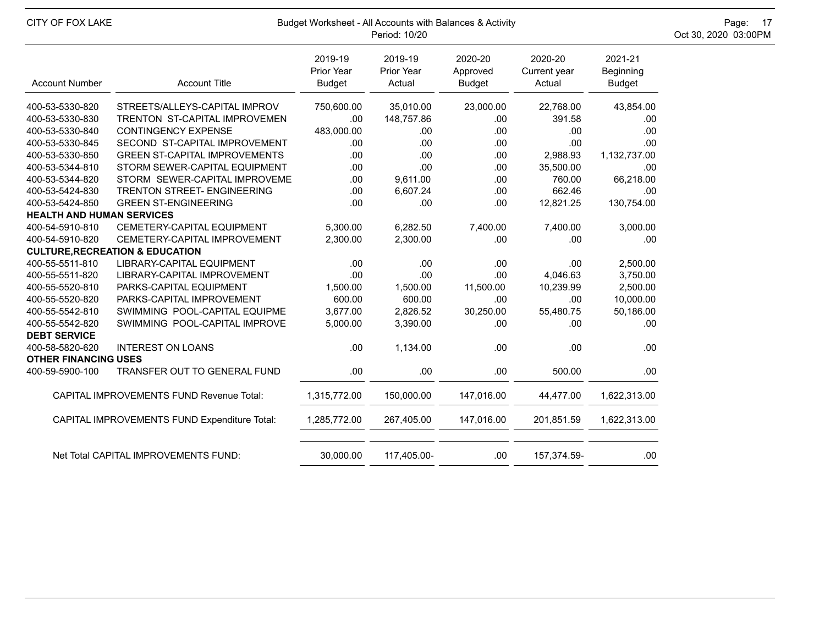| CITY OF FOX LAKE                 |                                                 | Budget Worksheet - All Accounts with Balances & Activity<br>Period: 10/20 |                                 |                                      |                                   |                                       |  |  |  |  |
|----------------------------------|-------------------------------------------------|---------------------------------------------------------------------------|---------------------------------|--------------------------------------|-----------------------------------|---------------------------------------|--|--|--|--|
| <b>Account Number</b>            | <b>Account Title</b>                            | 2019-19<br><b>Prior Year</b><br><b>Budget</b>                             | 2019-19<br>Prior Year<br>Actual | 2020-20<br>Approved<br><b>Budget</b> | 2020-20<br>Current year<br>Actual | 2021-21<br>Beginning<br><b>Budget</b> |  |  |  |  |
| 400-53-5330-820                  | STREETS/ALLEYS-CAPITAL IMPROV                   | 750,600.00                                                                | 35,010.00                       | 23,000.00                            | 22,768.00                         | 43,854.00                             |  |  |  |  |
| 400-53-5330-830                  | TRENTON ST-CAPITAL IMPROVEMEN                   | .00                                                                       | 148,757.86                      | .00                                  | 391.58                            | .00                                   |  |  |  |  |
| 400-53-5330-840                  | <b>CONTINGENCY EXPENSE</b>                      | 483,000.00                                                                | .00                             | .00                                  | .00                               | .00                                   |  |  |  |  |
| 400-53-5330-845                  | SECOND ST-CAPITAL IMPROVEMENT                   | .00.                                                                      | .00                             | .00                                  | .00                               | .00                                   |  |  |  |  |
| 400-53-5330-850                  | <b>GREEN ST-CAPITAL IMPROVEMENTS</b>            | .00                                                                       | .00                             | .00                                  | 2,988.93                          | 1,132,737.00                          |  |  |  |  |
| 400-53-5344-810                  | STORM SEWER-CAPITAL EQUIPMENT                   | .00                                                                       | .00                             | .00                                  | 35,500.00                         | .00                                   |  |  |  |  |
| 400-53-5344-820                  | STORM SEWER-CAPITAL IMPROVEME                   | .00.                                                                      | 9,611.00                        | .00                                  | 760.00                            | 66,218.00                             |  |  |  |  |
| 400-53-5424-830                  | TRENTON STREET- ENGINEERING                     | .00                                                                       | 6,607.24                        | .00                                  | 662.46                            | .00                                   |  |  |  |  |
| 400-53-5424-850                  | <b>GREEN ST-ENGINEERING</b>                     | .00                                                                       | .00                             | .00                                  | 12,821.25                         | 130,754.00                            |  |  |  |  |
| <b>HEALTH AND HUMAN SERVICES</b> |                                                 |                                                                           |                                 |                                      |                                   |                                       |  |  |  |  |
| 400-54-5910-810                  | <b>CEMETERY-CAPITAL EQUIPMENT</b>               | 5,300.00                                                                  | 6,282.50                        | 7,400.00                             | 7,400.00                          | 3,000.00                              |  |  |  |  |
| 400-54-5910-820                  | CEMETERY-CAPITAL IMPROVEMENT                    | 2,300.00                                                                  | 2,300.00                        | .00                                  | .00                               | .00                                   |  |  |  |  |
|                                  | <b>CULTURE, RECREATION &amp; EDUCATION</b>      |                                                                           |                                 |                                      |                                   |                                       |  |  |  |  |
| 400-55-5511-810                  | LIBRARY-CAPITAL EQUIPMENT                       | .00                                                                       | .00                             | .00                                  | .00                               | 2,500.00                              |  |  |  |  |
| 400-55-5511-820                  | LIBRARY-CAPITAL IMPROVEMENT                     | .00                                                                       | .00                             | .00                                  | 4,046.63                          | 3,750.00                              |  |  |  |  |
| 400-55-5520-810                  | PARKS-CAPITAL EQUIPMENT                         | 1,500.00                                                                  | 1,500.00                        | 11,500.00                            | 10,239.99                         | 2,500.00                              |  |  |  |  |
| 400-55-5520-820                  | PARKS-CAPITAL IMPROVEMENT                       | 600.00                                                                    | 600.00                          | .00                                  | .00                               | 10,000.00                             |  |  |  |  |
| 400-55-5542-810                  | SWIMMING POOL-CAPITAL EQUIPME                   | 3,677.00                                                                  | 2,826.52                        | 30,250.00                            | 55,480.75                         | 50,186.00                             |  |  |  |  |
| 400-55-5542-820                  | SWIMMING POOL-CAPITAL IMPROVE                   | 5,000.00                                                                  | 3,390.00                        | .00                                  | .00.                              | .00                                   |  |  |  |  |
| <b>DEBT SERVICE</b>              |                                                 |                                                                           |                                 |                                      |                                   |                                       |  |  |  |  |
| 400-58-5820-620                  | <b>INTEREST ON LOANS</b>                        | .00                                                                       | 1,134.00                        | .00                                  | .00                               | .00                                   |  |  |  |  |
| <b>OTHER FINANCING USES</b>      |                                                 |                                                                           |                                 |                                      |                                   |                                       |  |  |  |  |
| 400-59-5900-100                  | <b>TRANSFER OUT TO GENERAL FUND</b>             | .00.                                                                      | .00                             | .00                                  | 500.00                            | .00                                   |  |  |  |  |
|                                  | <b>CAPITAL IMPROVEMENTS FUND Revenue Total:</b> | 1,315,772.00                                                              | 150,000.00                      | 147,016.00                           | 44,477.00                         | 1,622,313.00                          |  |  |  |  |
|                                  | CAPITAL IMPROVEMENTS FUND Expenditure Total:    | 1,285,772.00                                                              | 267,405.00                      | 147,016.00                           | 201,851.59                        | 1,622,313.00                          |  |  |  |  |
|                                  | Net Total CAPITAL IMPROVEMENTS FUND:            | 30,000.00                                                                 | 117,405.00-                     | .00.                                 | 157,374.59-                       | .00                                   |  |  |  |  |
|                                  |                                                 |                                                                           |                                 |                                      |                                   |                                       |  |  |  |  |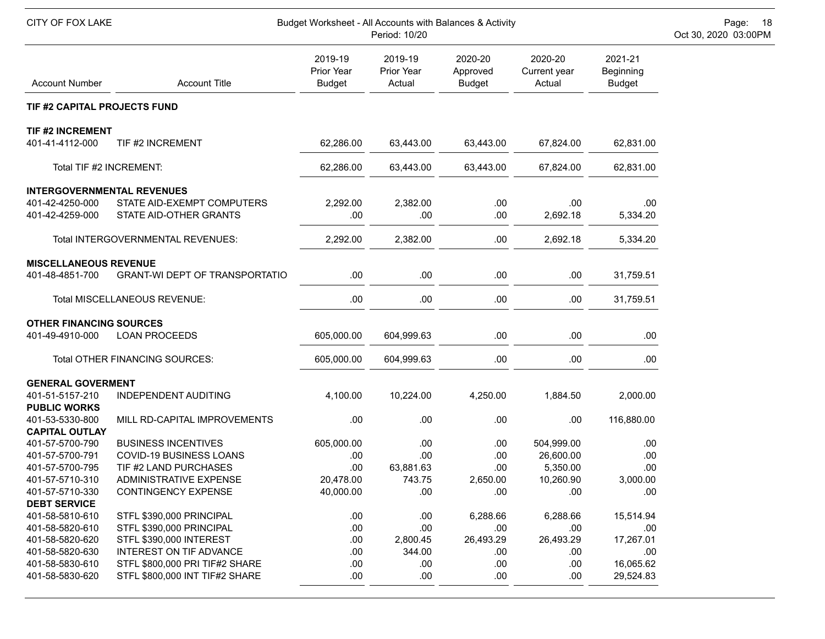| CITY OF FOX LAKE<br>Budget Worksheet - All Accounts with Balances & Activity<br>Period: 10/20 |                                                      |                                        |                                 |                                      |                                   |                                       |  |  |
|-----------------------------------------------------------------------------------------------|------------------------------------------------------|----------------------------------------|---------------------------------|--------------------------------------|-----------------------------------|---------------------------------------|--|--|
| <b>Account Number</b>                                                                         | <b>Account Title</b>                                 | 2019-19<br>Prior Year<br><b>Budget</b> | 2019-19<br>Prior Year<br>Actual | 2020-20<br>Approved<br><b>Budget</b> | 2020-20<br>Current year<br>Actual | 2021-21<br>Beginning<br><b>Budget</b> |  |  |
| TIF #2 CAPITAL PROJECTS FUND                                                                  |                                                      |                                        |                                 |                                      |                                   |                                       |  |  |
| <b>TIF #2 INCREMENT</b>                                                                       |                                                      |                                        |                                 |                                      |                                   |                                       |  |  |
| 401-41-4112-000                                                                               | TIF #2 INCREMENT                                     | 62,286.00                              | 63,443.00                       | 63,443.00                            | 67,824.00                         | 62,831.00                             |  |  |
| Total TIF #2 INCREMENT:                                                                       |                                                      | 62,286.00                              | 63,443.00                       | 63,443.00                            | 67,824.00                         | 62,831.00                             |  |  |
| <b>INTERGOVERNMENTAL REVENUES</b>                                                             |                                                      |                                        |                                 |                                      |                                   |                                       |  |  |
| 401-42-4250-000<br>401-42-4259-000                                                            | STATE AID-EXEMPT COMPUTERS<br>STATE AID-OTHER GRANTS | 2,292.00<br>.00                        | 2,382.00<br>.00                 | .00<br>.00                           | .00<br>2,692.18                   | .00<br>5,334.20                       |  |  |
|                                                                                               |                                                      |                                        |                                 |                                      |                                   |                                       |  |  |
|                                                                                               | Total INTERGOVERNMENTAL REVENUES:                    | 2,292.00                               | 2,382.00                        | .00                                  | 2,692.18                          | 5,334.20                              |  |  |
| <b>MISCELLANEOUS REVENUE</b>                                                                  |                                                      |                                        |                                 |                                      |                                   |                                       |  |  |
| 401-48-4851-700                                                                               | <b>GRANT-WI DEPT OF TRANSPORTATIO</b>                | .00                                    | .00                             | .00                                  | .00                               | 31,759.51                             |  |  |
|                                                                                               | Total MISCELLANEOUS REVENUE:                         | .00                                    | .00                             | .00                                  | .00                               | 31,759.51                             |  |  |
| <b>OTHER FINANCING SOURCES</b>                                                                |                                                      |                                        |                                 |                                      |                                   |                                       |  |  |
| 401-49-4910-000                                                                               | <b>LOAN PROCEEDS</b>                                 | 605,000.00                             | 604,999.63                      | .00                                  | .00                               | .00                                   |  |  |
|                                                                                               | Total OTHER FINANCING SOURCES:                       | 605,000.00                             | 604,999.63                      | .00                                  | .00                               | .00                                   |  |  |
| <b>GENERAL GOVERMENT</b>                                                                      |                                                      |                                        |                                 |                                      |                                   |                                       |  |  |
| 401-51-5157-210<br><b>PUBLIC WORKS</b>                                                        | INDEPENDENT AUDITING                                 | 4,100.00                               | 10,224.00                       | 4,250.00                             | 1,884.50                          | 2,000.00                              |  |  |
| 401-53-5330-800                                                                               | MILL RD-CAPITAL IMPROVEMENTS                         | .00                                    | .00                             | .00                                  | .00                               | 116,880.00                            |  |  |
| <b>CAPITAL OUTLAY</b><br>401-57-5700-790                                                      | <b>BUSINESS INCENTIVES</b>                           | 605,000.00                             | .00                             | .00                                  | 504,999.00                        | .00                                   |  |  |
| 401-57-5700-791                                                                               | COVID-19 BUSINESS LOANS                              | .00                                    | .00                             | .00                                  | 26,600.00                         | .00                                   |  |  |
| 401-57-5700-795                                                                               | TIF #2 LAND PURCHASES                                | .00                                    | 63,881.63                       | .00                                  | 5,350.00                          | .00                                   |  |  |
| 401-57-5710-310                                                                               | ADMINISTRATIVE EXPENSE                               | 20,478.00                              | 743.75                          | 2,650.00                             | 10,260.90                         | 3,000.00                              |  |  |
| 401-57-5710-330                                                                               | CONTINGENCY EXPENSE                                  | 40,000.00                              | .00                             | .00                                  | .00                               | .00                                   |  |  |
| <b>DEBT SERVICE</b><br>401-58-5810-610                                                        | STFL \$390,000 PRINCIPAL                             |                                        |                                 | 6,288.66                             |                                   |                                       |  |  |
| 401-58-5820-610                                                                               |                                                      | .00                                    | .00                             |                                      | 6,288.66                          | 15,514.94                             |  |  |
| 401-58-5820-620                                                                               | STFL \$390,000 PRINCIPAL<br>STFL \$390,000 INTEREST  | .00<br>.00                             | .00<br>2,800.45                 | .00<br>26,493.29                     | .00<br>26,493.29                  | .00<br>17,267.01                      |  |  |
| 401-58-5820-630                                                                               | INTEREST ON TIF ADVANCE                              | .00                                    | 344.00                          | .00                                  | .00                               | .00                                   |  |  |
| 401-58-5830-610                                                                               | STFL \$800,000 PRI TIF#2 SHARE                       | .00                                    | .00                             | .00                                  | .00                               | 16,065.62                             |  |  |
| 401-58-5830-620                                                                               | STFL \$800,000 INT TIF#2 SHARE                       | .00.                                   | .00                             | .00                                  | .00                               | 29,524.83                             |  |  |
|                                                                                               |                                                      |                                        |                                 |                                      |                                   |                                       |  |  |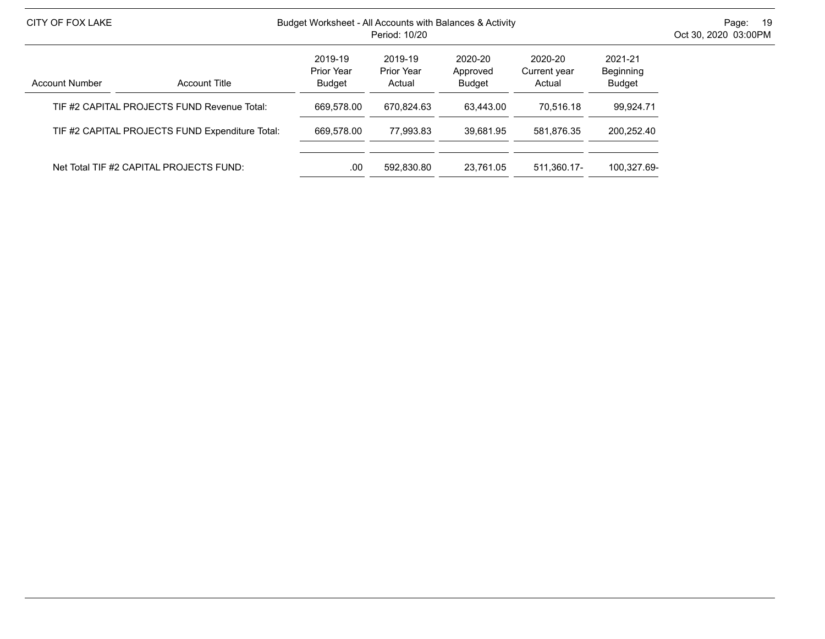| CITY OF FOX LAKE      |                                                 | Budget Worksheet - All Accounts with Balances & Activity                                                   | - 19<br>Page:<br>Oct 30, 2020 03:00PM |                                |             |             |  |
|-----------------------|-------------------------------------------------|------------------------------------------------------------------------------------------------------------|---------------------------------------|--------------------------------|-------------|-------------|--|
| <b>Account Number</b> | <b>Account Title</b>                            | 2019-19<br>2020-20<br>2019-19<br>Prior Year<br>Prior Year<br>Approved<br><b>Budget</b><br>Budget<br>Actual | 2020-20<br>Current year<br>Actual     | 2021-21<br>Beginning<br>Budget |             |             |  |
|                       | TIF #2 CAPITAL PROJECTS FUND Revenue Total:     | 669.578.00                                                                                                 | 670.824.63                            | 63.443.00                      | 70.516.18   | 99.924.71   |  |
|                       | TIF #2 CAPITAL PROJECTS FUND Expenditure Total: | 669.578.00                                                                                                 | 77.993.83                             | 39.681.95                      | 581.876.35  | 200.252.40  |  |
|                       | Net Total TIF #2 CAPITAL PROJECTS FUND:         | .00                                                                                                        | 592.830.80                            | 23.761.05                      | 511.360.17- | 100.327.69- |  |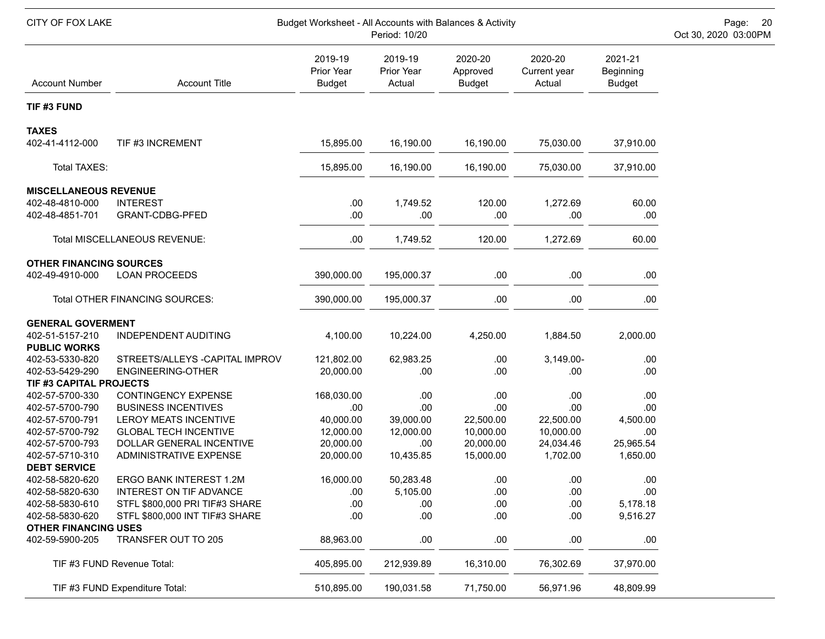| CITY OF FOX LAKE                       |                                 | Budget Worksheet - All Accounts with Balances & Activity | Page: 20<br>Oct 30, 2020 03:00PM |                                      |                                   |                                       |  |
|----------------------------------------|---------------------------------|----------------------------------------------------------|----------------------------------|--------------------------------------|-----------------------------------|---------------------------------------|--|
| <b>Account Number</b>                  | <b>Account Title</b>            | 2019-19<br>Prior Year<br><b>Budget</b>                   | 2019-19<br>Prior Year<br>Actual  | 2020-20<br>Approved<br><b>Budget</b> | 2020-20<br>Current year<br>Actual | 2021-21<br>Beginning<br><b>Budget</b> |  |
| TIF #3 FUND                            |                                 |                                                          |                                  |                                      |                                   |                                       |  |
| <b>TAXES</b>                           |                                 |                                                          |                                  |                                      |                                   |                                       |  |
| 402-41-4112-000                        | TIF #3 INCREMENT                | 15,895.00                                                | 16,190.00                        | 16,190.00                            | 75,030.00                         | 37,910.00                             |  |
| Total TAXES:                           |                                 | 15,895.00                                                | 16,190.00                        | 16,190.00                            | 75,030.00                         | 37,910.00                             |  |
| <b>MISCELLANEOUS REVENUE</b>           |                                 |                                                          |                                  |                                      |                                   |                                       |  |
| 402-48-4810-000                        | <b>INTEREST</b>                 | .00                                                      | 1,749.52                         | 120.00                               | 1,272.69                          | 60.00                                 |  |
| 402-48-4851-701                        | GRANT-CDBG-PFED                 | .00                                                      | .00                              | .00                                  | .00.                              | .00                                   |  |
|                                        | Total MISCELLANEOUS REVENUE:    | .00                                                      | 1,749.52                         | 120.00                               | 1,272.69                          | 60.00                                 |  |
| <b>OTHER FINANCING SOURCES</b>         |                                 |                                                          |                                  |                                      |                                   |                                       |  |
| 402-49-4910-000                        | <b>LOAN PROCEEDS</b>            | 390,000.00                                               | 195,000.37                       | .00                                  | .00.                              | .00                                   |  |
|                                        | Total OTHER FINANCING SOURCES:  | 390,000.00                                               | 195,000.37                       | .00                                  | .00                               | .00                                   |  |
| <b>GENERAL GOVERMENT</b>               |                                 |                                                          |                                  |                                      |                                   |                                       |  |
| 402-51-5157-210<br><b>PUBLIC WORKS</b> | <b>INDEPENDENT AUDITING</b>     | 4,100.00                                                 | 10,224.00                        | 4,250.00                             | 1,884.50                          | 2,000.00                              |  |
| 402-53-5330-820                        | STREETS/ALLEYS - CAPITAL IMPROV | 121,802.00                                               | 62,983.25                        | .00                                  | 3,149.00-                         | .00.                                  |  |
| 402-53-5429-290                        | ENGINEERING-OTHER               | 20,000.00                                                | .00                              | .00                                  | .00                               | .00                                   |  |
| TIF #3 CAPITAL PROJECTS                |                                 |                                                          |                                  |                                      |                                   |                                       |  |
| 402-57-5700-330                        | <b>CONTINGENCY EXPENSE</b>      | 168,030.00                                               | .00                              | .00                                  | .00                               | .00                                   |  |
| 402-57-5700-790                        | <b>BUSINESS INCENTIVES</b>      | .00                                                      | .00                              | .00                                  | .00                               | .00                                   |  |
| 402-57-5700-791                        | <b>LEROY MEATS INCENTIVE</b>    | 40,000.00                                                | 39,000.00                        | 22,500.00                            | 22,500.00                         | 4,500.00                              |  |
| 402-57-5700-792                        | <b>GLOBAL TECH INCENTIVE</b>    | 12,000.00                                                | 12,000.00                        | 10,000.00                            | 10,000.00                         | .00                                   |  |
| 402-57-5700-793                        | DOLLAR GENERAL INCENTIVE        | 20,000.00                                                | .00                              | 20,000.00                            | 24,034.46                         | 25,965.54                             |  |
| 402-57-5710-310                        | ADMINISTRATIVE EXPENSE          | 20,000.00                                                | 10,435.85                        | 15,000.00                            | 1,702.00                          | 1,650.00                              |  |
| <b>DEBT SERVICE</b>                    |                                 |                                                          |                                  |                                      |                                   |                                       |  |
| 402-58-5820-620                        | ERGO BANK INTEREST 1.2M         | 16,000.00                                                | 50,283.48                        | .00                                  | .00                               | .00                                   |  |
| 402-58-5820-630                        | <b>INTEREST ON TIF ADVANCE</b>  | .00                                                      | 5,105.00                         | .00                                  | .00                               | .00                                   |  |
| 402-58-5830-610                        | STFL \$800,000 PRI TIF#3 SHARE  | .00                                                      | .00                              | .00                                  | .00                               | 5,178.18                              |  |
| 402-58-5830-620                        | STFL \$800,000 INT TIF#3 SHARE  | .00                                                      | .00                              | .00                                  | .00                               | 9,516.27                              |  |
| <b>OTHER FINANCING USES</b>            |                                 |                                                          |                                  |                                      |                                   |                                       |  |
| 402-59-5900-205                        | TRANSFER OUT TO 205             | 88,963.00                                                | .00                              | .00                                  | .00                               | .00                                   |  |
|                                        | TIF #3 FUND Revenue Total:      | 405,895.00                                               | 212,939.89                       | 16,310.00                            | 76,302.69                         | 37,970.00                             |  |
|                                        | TIF #3 FUND Expenditure Total:  | 510,895.00                                               | 190,031.58                       | 71,750.00                            | 56,971.96                         | 48,809.99                             |  |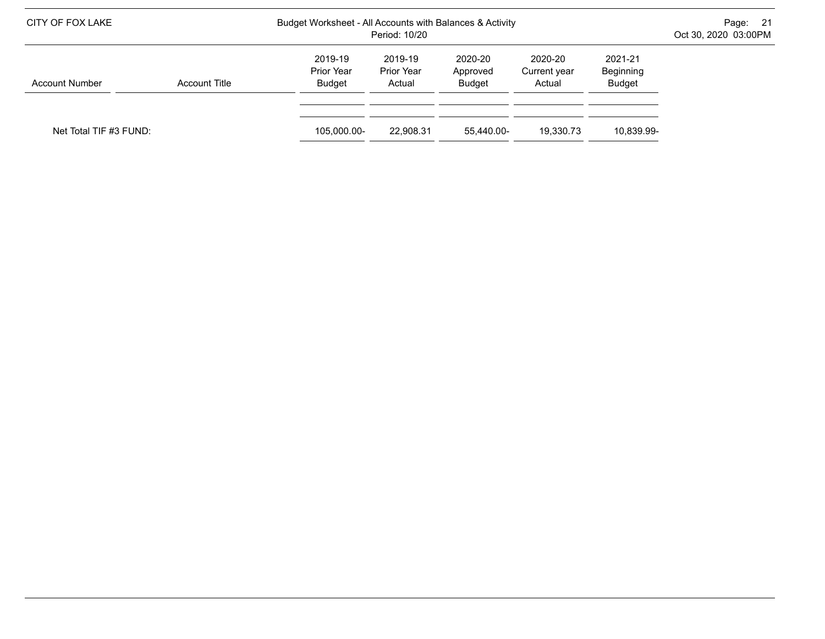| CITY OF FOX LAKE       |               |                                        | Budget Worksheet - All Accounts with Balances & Activity<br>Period: 10/20 |                               |                                   |                                |  |  |
|------------------------|---------------|----------------------------------------|---------------------------------------------------------------------------|-------------------------------|-----------------------------------|--------------------------------|--|--|
| <b>Account Number</b>  | Account Title | 2019-19<br>Prior Year<br><b>Budget</b> | 2019-19<br>Prior Year<br>Actual                                           | 2020-20<br>Approved<br>Budget | 2020-20<br>Current year<br>Actual | 2021-21<br>Beginning<br>Budget |  |  |
| Net Total TIF #3 FUND: |               | 105.000.00-                            | 22.908.31                                                                 | 55.440.00-                    | 19.330.73                         | 10,839.99-                     |  |  |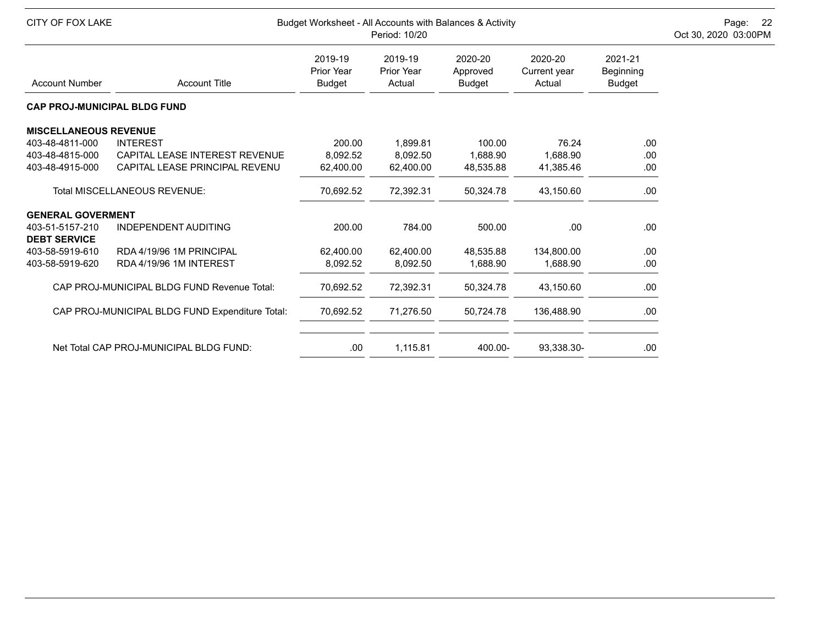| <b>CITY OF FOX LAKE</b>                |                                                 | Budget Worksheet - All Accounts with Balances & Activity<br>Period: 10/20 |                                 |                                      |                                   |                                       |  |  |
|----------------------------------------|-------------------------------------------------|---------------------------------------------------------------------------|---------------------------------|--------------------------------------|-----------------------------------|---------------------------------------|--|--|
| <b>Account Number</b>                  | <b>Account Title</b>                            | 2019-19<br>Prior Year<br><b>Budget</b>                                    | 2019-19<br>Prior Year<br>Actual | 2020-20<br>Approved<br><b>Budget</b> | 2020-20<br>Current year<br>Actual | 2021-21<br>Beginning<br><b>Budget</b> |  |  |
| <b>CAP PROJ-MUNICIPAL BLDG FUND</b>    |                                                 |                                                                           |                                 |                                      |                                   |                                       |  |  |
| <b>MISCELLANEOUS REVENUE</b>           |                                                 |                                                                           |                                 |                                      |                                   |                                       |  |  |
| 403-48-4811-000                        | <b>INTEREST</b>                                 | 200.00                                                                    | 1,899.81                        | 100.00                               | 76.24                             | .00                                   |  |  |
| 403-48-4815-000                        | CAPITAL LEASE INTEREST REVENUE                  | 8,092.52                                                                  | 8,092.50                        | 1,688.90                             | 1,688.90                          | .00                                   |  |  |
| 403-48-4915-000                        | CAPITAL LEASE PRINCIPAL REVENU                  | 62,400.00                                                                 | 62,400.00                       | 48,535.88                            | 41,385.46                         | .00                                   |  |  |
|                                        | <b>Total MISCELLANEOUS REVENUE:</b>             | 70,692.52                                                                 | 72,392.31                       | 50,324.78                            | 43,150.60                         | .00                                   |  |  |
| <b>GENERAL GOVERMENT</b>               |                                                 |                                                                           |                                 |                                      |                                   |                                       |  |  |
| 403-51-5157-210<br><b>DEBT SERVICE</b> | <b>INDEPENDENT AUDITING</b>                     | 200.00                                                                    | 784.00                          | 500.00                               | .00.                              | .00                                   |  |  |
| 403-58-5919-610                        | RDA 4/19/96 1M PRINCIPAL                        | 62,400.00                                                                 | 62,400.00                       | 48,535.88                            | 134,800.00                        | .00                                   |  |  |
| 403-58-5919-620                        | RDA 4/19/96 1M INTEREST                         | 8,092.52                                                                  | 8,092.50                        | 1,688.90                             | 1,688.90                          | .00                                   |  |  |
|                                        | CAP PROJ-MUNICIPAL BLDG FUND Revenue Total:     | 70,692.52                                                                 | 72,392.31                       | 50,324.78                            | 43,150.60                         | .00                                   |  |  |
|                                        | CAP PROJ-MUNICIPAL BLDG FUND Expenditure Total: | 70,692.52                                                                 | 71,276.50                       | 50,724.78                            | 136,488.90                        | .00                                   |  |  |
|                                        | Net Total CAP PROJ-MUNICIPAL BLDG FUND:         | .00.                                                                      | 1,115.81                        | 400.00-                              | 93,338.30-                        | .00                                   |  |  |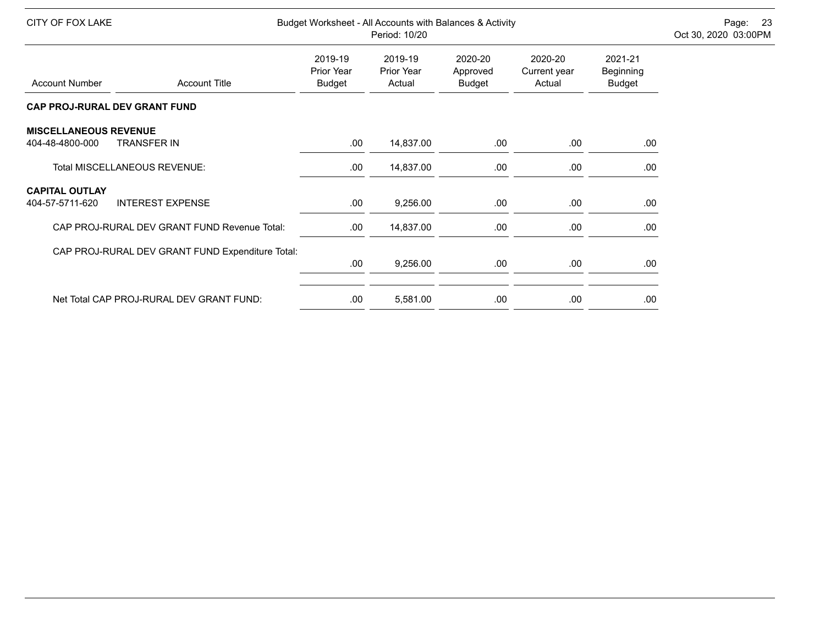| CITY OF FOX LAKE                                |                                                  |                                               | Period: 10/20                   | Budget Worksheet - All Accounts with Balances & Activity |                                   |                                       | Page: 23<br>Oct 30, 2020 03:00PM |
|-------------------------------------------------|--------------------------------------------------|-----------------------------------------------|---------------------------------|----------------------------------------------------------|-----------------------------------|---------------------------------------|----------------------------------|
| <b>Account Number</b>                           | <b>Account Title</b>                             | 2019-19<br><b>Prior Year</b><br><b>Budget</b> | 2019-19<br>Prior Year<br>Actual | 2020-20<br>Approved<br><b>Budget</b>                     | 2020-20<br>Current year<br>Actual | 2021-21<br>Beginning<br><b>Budget</b> |                                  |
|                                                 | CAP PROJ-RURAL DEV GRANT FUND                    |                                               |                                 |                                                          |                                   |                                       |                                  |
| <b>MISCELLANEOUS REVENUE</b><br>404-48-4800-000 | <b>TRANSFER IN</b>                               | .00.                                          | 14,837.00                       | .00                                                      | .00                               | .00                                   |                                  |
|                                                 | Total MISCELLANEOUS REVENUE:                     | .00                                           | 14,837.00                       | .00                                                      | .00.                              | .00                                   |                                  |
| <b>CAPITAL OUTLAY</b><br>404-57-5711-620        | <b>INTEREST EXPENSE</b>                          | .00.                                          | 9,256.00                        | .00.                                                     | .00.                              | .00                                   |                                  |
|                                                 | CAP PROJ-RURAL DEV GRANT FUND Revenue Total:     | .00.                                          | 14,837.00                       | .00                                                      | .00                               | .00                                   |                                  |
|                                                 | CAP PROJ-RURAL DEV GRANT FUND Expenditure Total: | .00.                                          | 9,256.00                        | .00                                                      | .00.                              | .00                                   |                                  |
|                                                 | Net Total CAP PROJ-RURAL DEV GRANT FUND:         | .00.                                          | 5,581.00                        | .00                                                      | .00                               | .00                                   |                                  |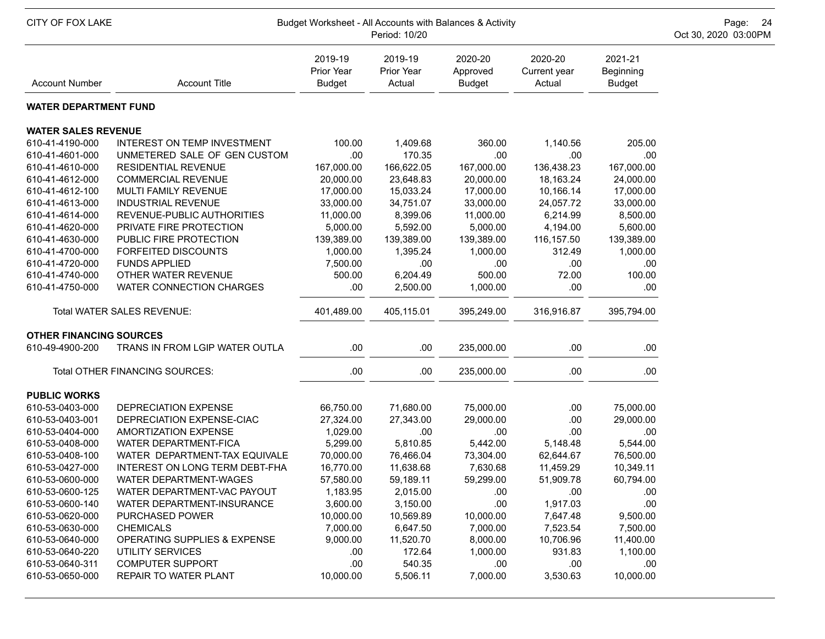| CITY OF FOX LAKE<br>Budget Worksheet - All Accounts with Balances & Activity<br>Period: 10/20 |                                         |                                 |                                        |                                      |                                   |                                       |  |  |
|-----------------------------------------------------------------------------------------------|-----------------------------------------|---------------------------------|----------------------------------------|--------------------------------------|-----------------------------------|---------------------------------------|--|--|
| <b>Account Number</b>                                                                         | <b>Account Title</b>                    | 2019-19<br>Prior Year<br>Budget | 2019-19<br><b>Prior Year</b><br>Actual | 2020-20<br>Approved<br><b>Budget</b> | 2020-20<br>Current year<br>Actual | 2021-21<br>Beginning<br><b>Budget</b> |  |  |
| <b>WATER DEPARTMENT FUND</b>                                                                  |                                         |                                 |                                        |                                      |                                   |                                       |  |  |
| <b>WATER SALES REVENUE</b>                                                                    |                                         |                                 |                                        |                                      |                                   |                                       |  |  |
| 610-41-4190-000                                                                               | INTEREST ON TEMP INVESTMENT             | 100.00                          | 1,409.68                               | 360.00                               | 1,140.56                          | 205.00                                |  |  |
| 610-41-4601-000                                                                               | UNMETERED SALE OF GEN CUSTOM            | .00                             | 170.35                                 | .00                                  | .00                               | .00                                   |  |  |
| 610-41-4610-000                                                                               | <b>RESIDENTIAL REVENUE</b>              | 167,000.00                      | 166,622.05                             | 167,000.00                           | 136,438.23                        | 167,000.00                            |  |  |
| 610-41-4612-000                                                                               | <b>COMMERCIAL REVENUE</b>               | 20,000.00                       | 23,648.83                              | 20,000.00                            | 18,163.24                         | 24,000.00                             |  |  |
| 610-41-4612-100                                                                               | MULTI FAMILY REVENUE                    | 17,000.00                       | 15,033.24                              | 17,000.00                            | 10,166.14                         | 17,000.00                             |  |  |
| 610-41-4613-000                                                                               | <b>INDUSTRIAL REVENUE</b>               | 33,000.00                       | 34,751.07                              | 33,000.00                            | 24,057.72                         | 33,000.00                             |  |  |
| 610-41-4614-000                                                                               | REVENUE-PUBLIC AUTHORITIES              | 11,000.00                       | 8,399.06                               | 11,000.00                            | 6,214.99                          | 8,500.00                              |  |  |
| 610-41-4620-000                                                                               | PRIVATE FIRE PROTECTION                 | 5,000.00                        | 5,592.00                               | 5,000.00                             | 4,194.00                          | 5,600.00                              |  |  |
| 610-41-4630-000                                                                               | PUBLIC FIRE PROTECTION                  | 139,389.00                      | 139,389.00                             | 139,389.00                           | 116,157.50                        | 139,389.00                            |  |  |
| 610-41-4700-000                                                                               | <b>FORFEITED DISCOUNTS</b>              | 1,000.00                        | 1,395.24                               | 1,000.00                             | 312.49                            | 1,000.00                              |  |  |
| 610-41-4720-000                                                                               | <b>FUNDS APPLIED</b>                    | 7,500.00                        | .00                                    | .00                                  | .00                               | .00                                   |  |  |
| 610-41-4740-000                                                                               | OTHER WATER REVENUE                     | 500.00                          | 6,204.49                               | 500.00                               | 72.00                             | 100.00                                |  |  |
| 610-41-4750-000                                                                               | WATER CONNECTION CHARGES                | .00.                            | 2,500.00                               | 1,000.00                             | .00                               | .00                                   |  |  |
|                                                                                               | Total WATER SALES REVENUE:              | 401,489.00                      | 405,115.01                             | 395,249.00                           | 316,916.87                        | 395,794.00                            |  |  |
| <b>OTHER FINANCING SOURCES</b>                                                                |                                         |                                 |                                        |                                      |                                   |                                       |  |  |
| 610-49-4900-200                                                                               | TRANS IN FROM LGIP WATER OUTLA          | .00                             | .00.                                   | 235,000.00                           | .00                               | .00                                   |  |  |
|                                                                                               | Total OTHER FINANCING SOURCES:          | .00.                            | .00.                                   | 235,000.00                           | .00                               | .00                                   |  |  |
| <b>PUBLIC WORKS</b>                                                                           |                                         |                                 |                                        |                                      |                                   |                                       |  |  |
| 610-53-0403-000                                                                               | DEPRECIATION EXPENSE                    | 66,750.00                       | 71,680.00                              | 75,000.00                            | .00.                              | 75,000.00                             |  |  |
| 610-53-0403-001                                                                               | DEPRECIATION EXPENSE-CIAC               | 27,324.00                       | 27,343.00                              | 29,000.00                            | .00                               | 29,000.00                             |  |  |
| 610-53-0404-000                                                                               | <b>AMORTIZATION EXPENSE</b>             | 1,029.00                        | .00                                    | .00                                  | .00                               | .00                                   |  |  |
| 610-53-0408-000                                                                               | <b>WATER DEPARTMENT-FICA</b>            | 5,299.00                        | 5,810.85                               | 5,442.00                             | 5,148.48                          | 5,544.00                              |  |  |
| 610-53-0408-100                                                                               | WATER DEPARTMENT-TAX EQUIVALE           | 70,000.00                       | 76,466.04                              | 73,304.00                            | 62,644.67                         | 76,500.00                             |  |  |
| 610-53-0427-000                                                                               | INTEREST ON LONG TERM DEBT-FHA          | 16,770.00                       | 11,638.68                              | 7,630.68                             | 11,459.29                         | 10,349.11                             |  |  |
| 610-53-0600-000                                                                               | WATER DEPARTMENT-WAGES                  | 57,580.00                       | 59,189.11                              | 59,299.00                            | 51,909.78                         | 60,794.00                             |  |  |
| 610-53-0600-125                                                                               | WATER DEPARTMENT-VAC PAYOUT             | 1,183.95                        | 2,015.00                               | .00                                  | .00                               | .00                                   |  |  |
| 610-53-0600-140                                                                               | WATER DEPARTMENT-INSURANCE              | 3,600.00                        | 3,150.00                               | .00                                  | 1,917.03                          | .00                                   |  |  |
| 610-53-0620-000                                                                               | PURCHASED POWER                         | 10,000.00                       | 10,569.89                              | 10,000.00                            | 7,647.48                          | 9,500.00                              |  |  |
| 610-53-0630-000                                                                               | <b>CHEMICALS</b>                        | 7,000.00                        | 6,647.50                               | 7,000.00                             | 7,523.54                          | 7,500.00                              |  |  |
| 610-53-0640-000                                                                               | <b>OPERATING SUPPLIES &amp; EXPENSE</b> | 9,000.00                        | 11,520.70                              | 8,000.00                             | 10,706.96                         | 11,400.00                             |  |  |
| 610-53-0640-220                                                                               | UTILITY SERVICES                        | .00.                            | 172.64                                 | 1,000.00                             | 931.83                            | 1,100.00                              |  |  |
| 610-53-0640-311                                                                               | <b>COMPUTER SUPPORT</b>                 | .00                             | 540.35                                 | .00                                  | .00                               | .00                                   |  |  |
| 610-53-0650-000                                                                               | REPAIR TO WATER PLANT                   | 10,000.00                       | 5,506.11                               | 7,000.00                             | 3,530.63                          | 10,000.00                             |  |  |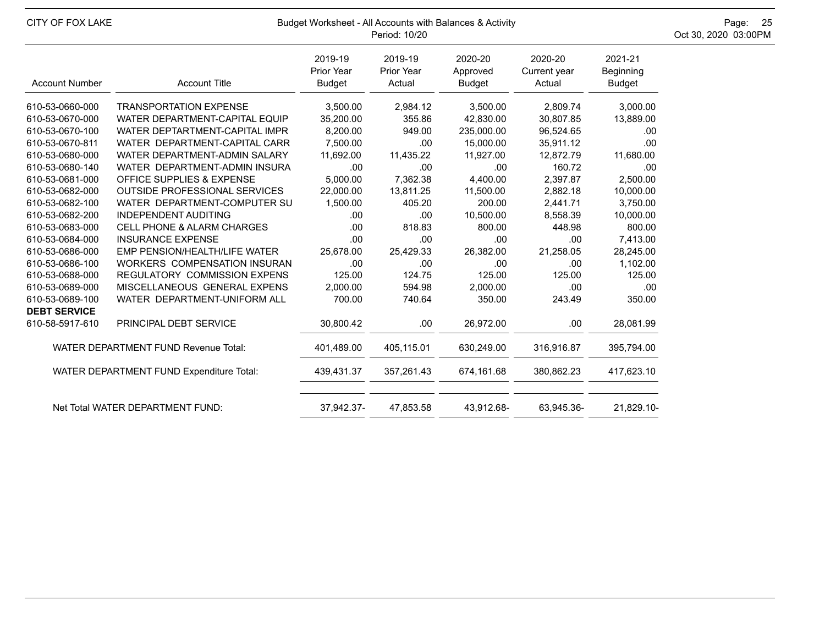| CITY OF FOX LAKE                            |                                      | Budget Worksheet - All Accounts with Balances & Activity<br>Period: 10/20 | Page: 25<br>Oct 30, 2020 03:00PM |                               |                                   |                                       |  |
|---------------------------------------------|--------------------------------------|---------------------------------------------------------------------------|----------------------------------|-------------------------------|-----------------------------------|---------------------------------------|--|
| <b>Account Number</b>                       | <b>Account Title</b>                 | 2019-19<br>Prior Year<br><b>Budget</b>                                    | 2019-19<br>Prior Year<br>Actual  | 2020-20<br>Approved<br>Budget | 2020-20<br>Current year<br>Actual | 2021-21<br>Beginning<br><b>Budget</b> |  |
| 610-53-0660-000                             | <b>TRANSPORTATION EXPENSE</b>        | 3,500.00                                                                  | 2,984.12                         | 3,500.00                      | 2,809.74                          | 3,000.00                              |  |
| 610-53-0670-000                             | WATER DEPARTMENT-CAPITAL EQUIP       | 35,200.00                                                                 | 355.86                           | 42,830.00                     | 30,807.85                         | 13,889.00                             |  |
| 610-53-0670-100                             | WATER DEPTARTMENT-CAPITAL IMPR       | 8,200.00                                                                  | 949.00                           | 235,000.00                    | 96,524.65                         | .00.                                  |  |
| 610-53-0670-811                             | WATER DEPARTMENT-CAPITAL CARR        | 7,500.00                                                                  | .00                              | 15,000.00                     | 35,911.12                         | .00                                   |  |
| 610-53-0680-000                             | WATER DEPARTMENT-ADMIN SALARY        | 11,692.00                                                                 | 11,435.22                        | 11,927.00                     | 12,872.79                         | 11,680.00                             |  |
| 610-53-0680-140                             | WATER DEPARTMENT-ADMIN INSURA        | .00                                                                       | .00                              | .00                           | 160.72                            | .00.                                  |  |
| 610-53-0681-000                             | OFFICE SUPPLIES & EXPENSE            | 5,000.00                                                                  | 7,362.38                         | 4,400.00                      | 2,397.87                          | 2,500.00                              |  |
| 610-53-0682-000                             | <b>OUTSIDE PROFESSIONAL SERVICES</b> | 22,000.00                                                                 | 13,811.25                        | 11,500.00                     | 2,882.18                          | 10,000.00                             |  |
| 610-53-0682-100                             | WATER DEPARTMENT-COMPUTER SU         | 1,500.00                                                                  | 405.20                           | 200.00                        | 2,441.71                          | 3,750.00                              |  |
| 610-53-0682-200                             | <b>INDEPENDENT AUDITING</b>          | .00                                                                       | .00                              | 10,500.00                     | 8,558.39                          | 10,000.00                             |  |
| 610-53-0683-000                             | CELL PHONE & ALARM CHARGES           | .00                                                                       | 818.83                           | 800.00                        | 448.98                            | 800.00                                |  |
| 610-53-0684-000                             | <b>INSURANCE EXPENSE</b>             | .00                                                                       | .00                              | .00                           | .00                               | 7,413.00                              |  |
| 610-53-0686-000                             | EMP PENSION/HEALTH/LIFE WATER        | 25,678.00                                                                 | 25,429.33                        | 26,382.00                     | 21,258.05                         | 28,245.00                             |  |
| 610-53-0686-100                             | <b>WORKERS COMPENSATION INSURAN</b>  | .00                                                                       | .00                              | .00                           | .00                               | 1,102.00                              |  |
| 610-53-0688-000                             | <b>REGULATORY COMMISSION EXPENS</b>  | 125.00                                                                    | 124.75                           | 125.00                        | 125.00                            | 125.00                                |  |
| 610-53-0689-000                             | MISCELLANEOUS GENERAL EXPENS         | 2,000.00                                                                  | 594.98                           | 2,000.00                      | .00.                              | .00.                                  |  |
| 610-53-0689-100                             | WATER DEPARTMENT-UNIFORM ALL         | 700.00                                                                    | 740.64                           | 350.00                        | 243.49                            | 350.00                                |  |
| <b>DEBT SERVICE</b>                         |                                      |                                                                           |                                  |                               |                                   |                                       |  |
| 610-58-5917-610                             | PRINCIPAL DEBT SERVICE               | 30,800.42                                                                 | .00                              | 26,972.00                     | .00                               | 28,081.99                             |  |
| <b>WATER DEPARTMENT FUND Revenue Total:</b> |                                      | 401,489.00                                                                | 405,115.01                       | 630,249.00                    | 316,916.87                        | 395,794.00                            |  |
| WATER DEPARTMENT FUND Expenditure Total:    |                                      | 439,431.37                                                                | 357,261.43                       | 674,161.68                    | 380,862.23                        | 417,623.10                            |  |
|                                             | Net Total WATER DEPARTMENT FUND:     | 37,942.37-                                                                | 47,853.58                        | 43,912.68-                    | 63,945.36-                        | 21,829.10-                            |  |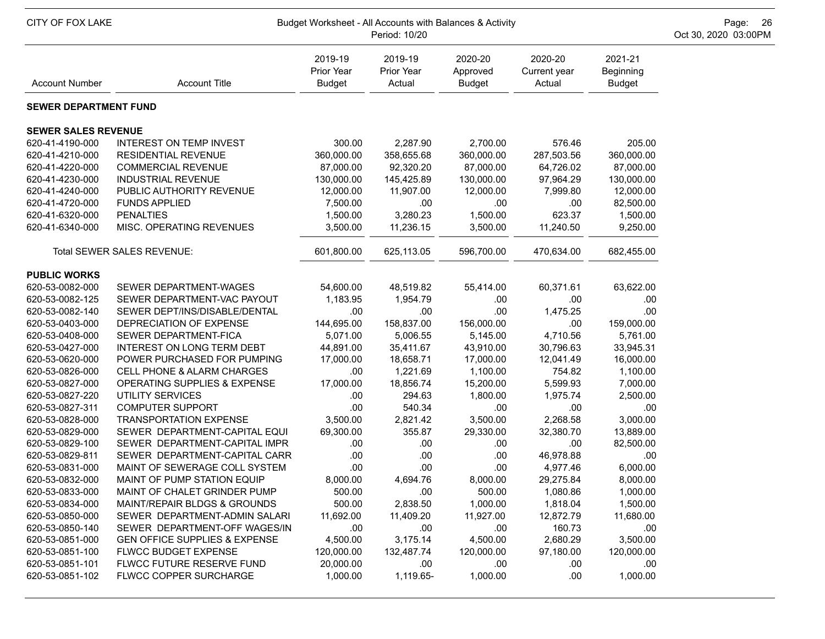| CITY OF FOX LAKE<br>Budget Worksheet - All Accounts with Balances & Activity<br>Period: 10/20 |                                          |                                        |                                 |                                      |                                   |                                       | Page: 26<br>Oct 30, 2020 03:00PM |
|-----------------------------------------------------------------------------------------------|------------------------------------------|----------------------------------------|---------------------------------|--------------------------------------|-----------------------------------|---------------------------------------|----------------------------------|
| <b>Account Number</b>                                                                         | <b>Account Title</b>                     | 2019-19<br>Prior Year<br><b>Budget</b> | 2019-19<br>Prior Year<br>Actual | 2020-20<br>Approved<br><b>Budget</b> | 2020-20<br>Current year<br>Actual | 2021-21<br>Beginning<br><b>Budget</b> |                                  |
| <b>SEWER DEPARTMENT FUND</b>                                                                  |                                          |                                        |                                 |                                      |                                   |                                       |                                  |
| <b>SEWER SALES REVENUE</b>                                                                    |                                          |                                        |                                 |                                      |                                   |                                       |                                  |
| 620-41-4190-000                                                                               | <b>INTEREST ON TEMP INVEST</b>           | 300.00                                 | 2,287.90                        | 2,700.00                             | 576.46                            | 205.00                                |                                  |
| 620-41-4210-000                                                                               | <b>RESIDENTIAL REVENUE</b>               | 360,000.00                             | 358,655.68                      | 360,000.00                           | 287,503.56                        | 360,000.00                            |                                  |
| 620-41-4220-000                                                                               | <b>COMMERCIAL REVENUE</b>                | 87,000.00                              | 92,320.20                       | 87,000.00                            | 64,726.02                         | 87,000.00                             |                                  |
| 620-41-4230-000                                                                               | <b>INDUSTRIAL REVENUE</b>                | 130,000.00                             | 145,425.89                      | 130,000.00                           | 97,964.29                         | 130,000.00                            |                                  |
| 620-41-4240-000                                                                               | PUBLIC AUTHORITY REVENUE                 | 12,000.00                              | 11,907.00                       | 12,000.00                            | 7,999.80                          | 12,000.00                             |                                  |
| 620-41-4720-000                                                                               | <b>FUNDS APPLIED</b>                     | 7,500.00                               | .00                             | .00                                  | .00.                              | 82,500.00                             |                                  |
| 620-41-6320-000                                                                               | <b>PENALTIES</b>                         | 1,500.00                               | 3,280.23                        | 1,500.00                             | 623.37                            | 1,500.00                              |                                  |
| 620-41-6340-000                                                                               | MISC. OPERATING REVENUES                 | 3,500.00                               | 11,236.15                       | 3,500.00                             | 11,240.50                         | 9,250.00                              |                                  |
|                                                                                               | Total SEWER SALES REVENUE:               | 601,800.00                             | 625,113.05                      | 596,700.00                           | 470,634.00                        | 682,455.00                            |                                  |
| <b>PUBLIC WORKS</b>                                                                           |                                          |                                        |                                 |                                      |                                   |                                       |                                  |
| 620-53-0082-000                                                                               | SEWER DEPARTMENT-WAGES                   | 54,600.00                              | 48,519.82                       | 55,414.00                            | 60,371.61                         | 63,622.00                             |                                  |
| 620-53-0082-125                                                                               | SEWER DEPARTMENT-VAC PAYOUT              | 1,183.95                               | 1,954.79                        | .00                                  | .00                               | .00                                   |                                  |
| 620-53-0082-140                                                                               | SEWER DEPT/INS/DISABLE/DENTAL            | .00                                    | .00                             | .00                                  | 1,475.25                          | .00                                   |                                  |
| 620-53-0403-000                                                                               | DEPRECIATION OF EXPENSE                  | 144,695.00                             | 158,837.00                      | 156,000.00                           | .00                               | 159,000.00                            |                                  |
| 620-53-0408-000                                                                               | SEWER DEPARTMENT-FICA                    | 5,071.00                               | 5,006.55                        | 5,145.00                             | 4,710.56                          | 5,761.00                              |                                  |
| 620-53-0427-000                                                                               | INTEREST ON LONG TERM DEBT               | 44,891.00                              | 35,411.67                       | 43,910.00                            | 30,796.63                         | 33,945.31                             |                                  |
| 620-53-0620-000                                                                               | POWER PURCHASED FOR PUMPING              | 17,000.00                              | 18,658.71                       | 17,000.00                            | 12,041.49                         | 16,000.00                             |                                  |
| 620-53-0826-000                                                                               | <b>CELL PHONE &amp; ALARM CHARGES</b>    | .00                                    | 1,221.69                        | 1,100.00                             | 754.82                            | 1,100.00                              |                                  |
| 620-53-0827-000                                                                               | OPERATING SUPPLIES & EXPENSE             | 17,000.00                              | 18,856.74                       | 15,200.00                            | 5,599.93                          | 7,000.00                              |                                  |
| 620-53-0827-220                                                                               | UTILITY SERVICES                         | .00                                    | 294.63                          | 1,800.00                             | 1,975.74                          | 2,500.00                              |                                  |
| 620-53-0827-311                                                                               | <b>COMPUTER SUPPORT</b>                  | .00                                    | 540.34                          | .00                                  | .00                               | .00                                   |                                  |
| 620-53-0828-000                                                                               | <b>TRANSPORTATION EXPENSE</b>            | 3,500.00                               | 2,821.42                        | 3,500.00                             | 2,268.58                          | 3,000.00                              |                                  |
| 620-53-0829-000                                                                               | SEWER DEPARTMENT-CAPITAL EQUI            | 69,300.00                              | 355.87                          | 29,330.00                            | 32,380.70                         | 13,889.00                             |                                  |
| 620-53-0829-100                                                                               | SEWER DEPARTMENT-CAPITAL IMPR            | .00                                    | .00                             | .00                                  | .00.                              | 82,500.00                             |                                  |
| 620-53-0829-811                                                                               | SEWER DEPARTMENT-CAPITAL CARR            | .00                                    | .00                             | .00                                  | 46,978.88                         | .00                                   |                                  |
| 620-53-0831-000                                                                               | MAINT OF SEWERAGE COLL SYSTEM            | .00                                    | .00                             | .00                                  | 4,977.46                          | 6,000.00                              |                                  |
| 620-53-0832-000                                                                               | MAINT OF PUMP STATION EQUIP              | 8,000.00                               | 4,694.76                        | 8,000.00                             | 29,275.84                         | 8,000.00                              |                                  |
| 620-53-0833-000                                                                               | MAINT OF CHALET GRINDER PUMP             | 500.00                                 | .00                             | 500.00                               | 1,080.86                          | 1,000.00                              |                                  |
| 620-53-0834-000                                                                               | MAINT/REPAIR BLDGS & GROUNDS             | 500.00                                 | 2,838.50                        | 1,000.00                             | 1,818.04                          | 1,500.00                              |                                  |
| 620-53-0850-000                                                                               | SEWER DEPARTMENT-ADMIN SALARI            | 11,692.00                              | 11,409.20                       | 11,927.00                            | 12,872.79                         | 11,680.00                             |                                  |
| 620-53-0850-140                                                                               | SEWER DEPARTMENT-OFF WAGES/IN            | .00                                    | .00                             | .00                                  | 160.73                            | .00                                   |                                  |
| 620-53-0851-000                                                                               | <b>GEN OFFICE SUPPLIES &amp; EXPENSE</b> | 4,500.00                               | 3,175.14                        | 4,500.00                             | 2,680.29                          | 3,500.00                              |                                  |
| 620-53-0851-100                                                                               | FLWCC BUDGET EXPENSE                     | 120,000.00                             | 132,487.74                      | 120,000.00                           | 97,180.00                         | 120,000.00                            |                                  |
| 620-53-0851-101                                                                               | FLWCC FUTURE RESERVE FUND                | 20,000.00                              | .00                             | .00                                  | .00.                              | .00                                   |                                  |
| 620-53-0851-102                                                                               | FLWCC COPPER SURCHARGE                   | 1,000.00                               | 1,119.65-                       | 1,000.00                             | .00.                              | 1,000.00                              |                                  |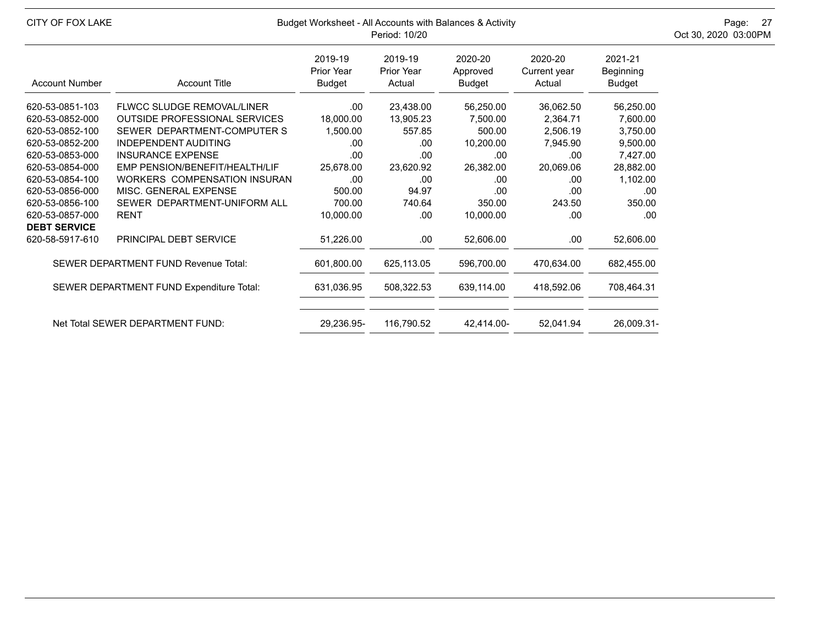| CITY OF FOX LAKE                            |                                          | Budget Worksheet - All Accounts with Balances & Activity<br>Period: 10/20 | Page: 27<br>Oct 30, 2020 03:00PM       |                               |                                   |                                       |  |
|---------------------------------------------|------------------------------------------|---------------------------------------------------------------------------|----------------------------------------|-------------------------------|-----------------------------------|---------------------------------------|--|
| <b>Account Number</b>                       | <b>Account Title</b>                     | 2019-19<br><b>Prior Year</b><br><b>Budget</b>                             | 2019-19<br><b>Prior Year</b><br>Actual | 2020-20<br>Approved<br>Budget | 2020-20<br>Current year<br>Actual | 2021-21<br>Beginning<br><b>Budget</b> |  |
| 620-53-0851-103                             | <b>FLWCC SLUDGE REMOVAL/LINER</b>        | .00                                                                       | 23,438.00                              | 56,250.00                     | 36,062.50                         | 56,250.00                             |  |
| 620-53-0852-000                             | <b>OUTSIDE PROFESSIONAL SERVICES</b>     | 18,000.00                                                                 | 13,905.23                              | 7,500.00                      | 2,364.71                          | 7,600.00                              |  |
| 620-53-0852-100                             | SEWER DEPARTMENT-COMPUTER S              | 1,500.00                                                                  | 557.85                                 | 500.00                        | 2,506.19                          | 3,750.00                              |  |
| 620-53-0852-200                             | <b>INDEPENDENT AUDITING</b>              | .00                                                                       | .00                                    | 10,200.00                     | 7,945.90                          | 9,500.00                              |  |
| 620-53-0853-000                             | <b>INSURANCE EXPENSE</b>                 | .00                                                                       | .00                                    | .00                           | .00                               | 7,427.00                              |  |
| 620-53-0854-000                             | EMP PENSION/BENEFIT/HEALTH/LIF           | 25,678.00                                                                 | 23,620.92                              | 26,382.00                     | 20,069.06                         | 28,882.00                             |  |
| 620-53-0854-100                             | <b>WORKERS COMPENSATION INSURAN</b>      | .00                                                                       | .00                                    | .00                           | .00.                              | 1,102.00                              |  |
| 620-53-0856-000                             | MISC. GENERAL EXPENSE                    | 500.00                                                                    | 94.97                                  | .00                           | .00                               | .00                                   |  |
| 620-53-0856-100                             | SEWER DEPARTMENT-UNIFORM ALL             | 700.00                                                                    | 740.64                                 | 350.00                        | 243.50                            | 350.00                                |  |
| 620-53-0857-000<br><b>DEBT SERVICE</b>      | <b>RENT</b>                              | 10,000.00                                                                 | .00                                    | 10,000.00                     | .00.                              | .00                                   |  |
| 620-58-5917-610                             | PRINCIPAL DEBT SERVICE                   | 51,226.00                                                                 | .00                                    | 52,606.00                     | .00.                              | 52,606.00                             |  |
| <b>SEWER DEPARTMENT FUND Revenue Total:</b> |                                          | 601,800.00                                                                | 625,113.05                             | 596,700.00                    | 470.634.00                        | 682,455.00                            |  |
|                                             | SEWER DEPARTMENT FUND Expenditure Total: | 631,036.95                                                                | 508,322.53                             | 639,114.00                    | 418,592.06                        | 708,464.31                            |  |
|                                             | Net Total SEWER DEPARTMENT FUND:         | 29,236.95-                                                                | 116,790.52                             | 42.414.00-                    | 52,041.94                         | 26,009.31-                            |  |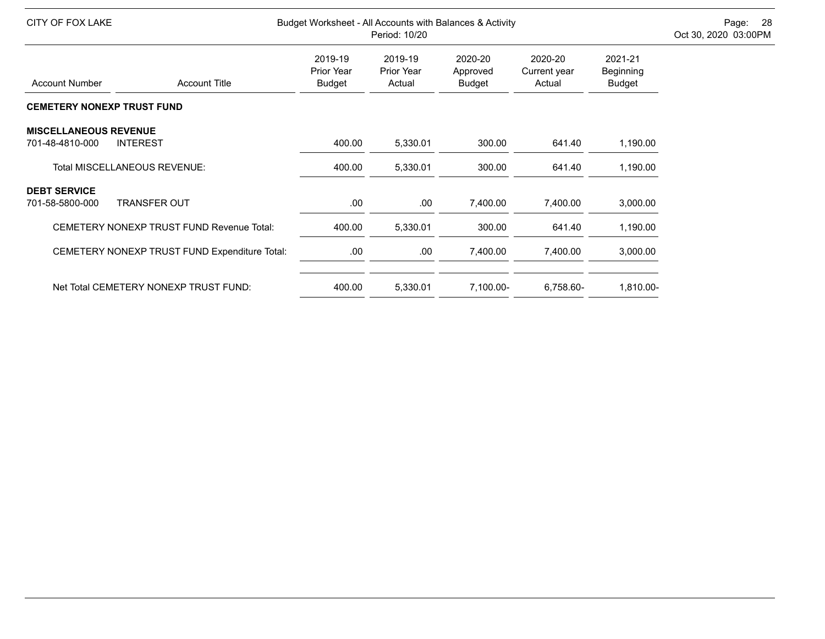| CITY OF FOX LAKE                                 |                                        | Budget Worksheet - All Accounts with Balances & Activity<br>Period: 10/20 |                                      |                                   |                                       |  |
|--------------------------------------------------|----------------------------------------|---------------------------------------------------------------------------|--------------------------------------|-----------------------------------|---------------------------------------|--|
| <b>Account Number</b><br><b>Account Title</b>    | 2019-19<br>Prior Year<br><b>Budget</b> | 2019-19<br><b>Prior Year</b><br>Actual                                    | 2020-20<br>Approved<br><b>Budget</b> | 2020-20<br>Current year<br>Actual | 2021-21<br>Beginning<br><b>Budget</b> |  |
| <b>CEMETERY NONEXP TRUST FUND</b>                |                                        |                                                                           |                                      |                                   |                                       |  |
| <b>MISCELLANEOUS REVENUE</b>                     |                                        |                                                                           |                                      |                                   |                                       |  |
| <b>INTEREST</b><br>701-48-4810-000               | 400.00                                 | 5,330.01                                                                  | 300.00                               | 641.40                            | 1,190.00                              |  |
| <b>Total MISCELLANEOUS REVENUE:</b>              | 400.00                                 | 5,330.01                                                                  | 300.00                               | 641.40                            | 1,190.00                              |  |
| <b>DEBT SERVICE</b>                              |                                        |                                                                           |                                      |                                   |                                       |  |
| <b>TRANSFER OUT</b><br>701-58-5800-000           | .00.                                   | .00                                                                       | 7,400.00                             | 7,400.00                          | 3,000.00                              |  |
| <b>CEMETERY NONEXP TRUST FUND Revenue Total:</b> | 400.00                                 | 5,330.01                                                                  | 300.00                               | 641.40                            | 1,190.00                              |  |
| CEMETERY NONEXP TRUST FUND Expenditure Total:    | .00                                    | .00.                                                                      | 7,400.00                             | 7,400.00                          | 3,000.00                              |  |
| Net Total CEMETERY NONEXP TRUST FUND:            | 400.00                                 | 5,330.01                                                                  | 7,100.00-                            | 6,758.60-                         | 1,810.00-                             |  |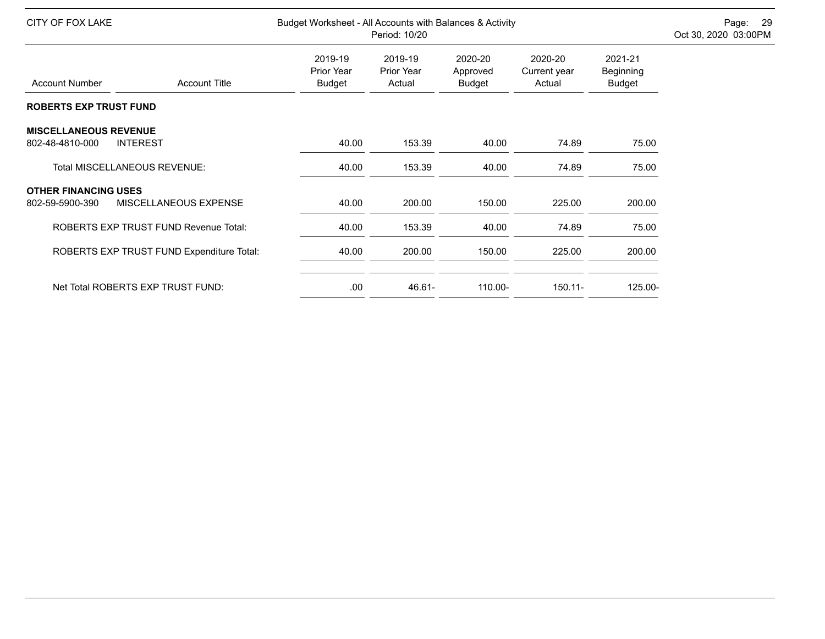| CITY OF FOX LAKE              |                                              | Budget Worksheet - All Accounts with Balances & Activity | Page: 29<br>Oct 30, 2020 03:00PM |                                      |                                   |                                |  |
|-------------------------------|----------------------------------------------|----------------------------------------------------------|----------------------------------|--------------------------------------|-----------------------------------|--------------------------------|--|
| <b>Account Number</b>         | <b>Account Title</b>                         | 2019-19<br>Prior Year<br><b>Budget</b>                   | 2019-19<br>Prior Year<br>Actual  | 2020-20<br>Approved<br><b>Budget</b> | 2020-20<br>Current year<br>Actual | 2021-21<br>Beginning<br>Budget |  |
| <b>ROBERTS EXP TRUST FUND</b> |                                              |                                                          |                                  |                                      |                                   |                                |  |
| <b>MISCELLANEOUS REVENUE</b>  |                                              |                                                          |                                  |                                      |                                   |                                |  |
| 802-48-4810-000               | <b>INTEREST</b>                              | 40.00                                                    | 153.39                           | 40.00                                | 74.89                             | 75.00                          |  |
|                               | Total MISCELLANEOUS REVENUE:                 | 40.00                                                    | 153.39                           | 40.00                                | 74.89                             | 75.00                          |  |
| <b>OTHER FINANCING USES</b>   |                                              |                                                          |                                  |                                      |                                   |                                |  |
| 802-59-5900-390               | MISCELLANEOUS EXPENSE                        | 40.00                                                    | 200.00                           | 150.00                               | 225.00                            | 200.00                         |  |
|                               | <b>ROBERTS EXP TRUST FUND Revenue Total:</b> | 40.00                                                    | 153.39                           | 40.00                                | 74.89                             | 75.00                          |  |
|                               | ROBERTS EXP TRUST FUND Expenditure Total:    | 40.00                                                    | 200.00                           | 150.00                               | 225.00                            | 200.00                         |  |
|                               |                                              |                                                          |                                  |                                      |                                   |                                |  |
|                               | Net Total ROBERTS EXP TRUST FUND:            | .00.                                                     | $46.61 -$                        | $110.00 -$                           | $150.11 -$                        | 125.00-                        |  |